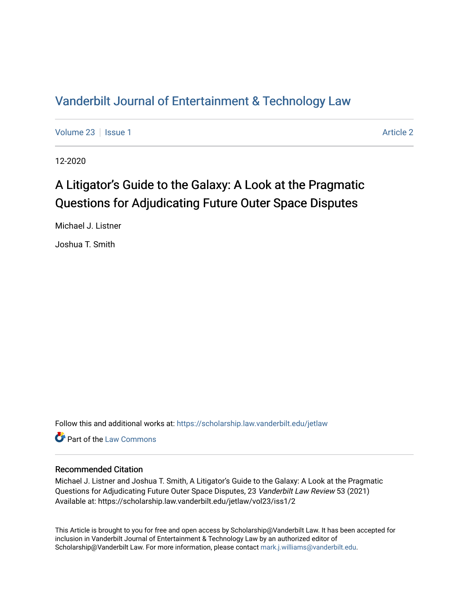## [Vanderbilt Journal of Entertainment & Technology Law](https://scholarship.law.vanderbilt.edu/jetlaw)

[Volume 23](https://scholarship.law.vanderbilt.edu/jetlaw/vol23) | [Issue 1](https://scholarship.law.vanderbilt.edu/jetlaw/vol23/iss1) [Article 2](https://scholarship.law.vanderbilt.edu/jetlaw/vol23/iss1/2) | Article 2 Article 2 | Article 2 | Article 2 | Article 2 | Article 2 | Article 2

12-2020

# A Litigator's Guide to the Galaxy: A Look at the Pragmatic Questions for Adjudicating Future Outer Space Disputes

Michael J. Listner

Joshua T. Smith

Follow this and additional works at: [https://scholarship.law.vanderbilt.edu/jetlaw](https://scholarship.law.vanderbilt.edu/jetlaw?utm_source=scholarship.law.vanderbilt.edu%2Fjetlaw%2Fvol23%2Fiss1%2F2&utm_medium=PDF&utm_campaign=PDFCoverPages)

**C** Part of the [Law Commons](http://network.bepress.com/hgg/discipline/578?utm_source=scholarship.law.vanderbilt.edu%2Fjetlaw%2Fvol23%2Fiss1%2F2&utm_medium=PDF&utm_campaign=PDFCoverPages)

## Recommended Citation

Michael J. Listner and Joshua T. Smith, A Litigator's Guide to the Galaxy: A Look at the Pragmatic Questions for Adjudicating Future Outer Space Disputes, 23 Vanderbilt Law Review 53 (2021) Available at: https://scholarship.law.vanderbilt.edu/jetlaw/vol23/iss1/2

This Article is brought to you for free and open access by Scholarship@Vanderbilt Law. It has been accepted for inclusion in Vanderbilt Journal of Entertainment & Technology Law by an authorized editor of Scholarship@Vanderbilt Law. For more information, please contact [mark.j.williams@vanderbilt.edu](mailto:mark.j.williams@vanderbilt.edu).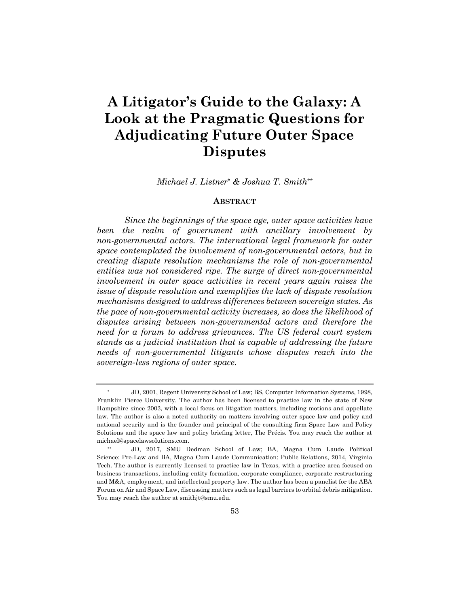# **A Litigator's Guide to the Galaxy: A Look at the Pragmatic Questions for Adjudicating Future Outer Space Disputes**

*Michael J. Listner\* & Joshua T. Smith\*\**

#### **ABSTRACT**

*Since the beginnings of the space age, outer space activities have been the realm of government with ancillary involvement by non-governmental actors. The international legal framework for outer space contemplated the involvement of non-governmental actors, but in creating dispute resolution mechanisms the role of non-governmental entities was not considered ripe. The surge of direct non-governmental involvement in outer space activities in recent years again raises the issue of dispute resolution and exemplifies the lack of dispute resolution mechanisms designed to address differences between sovereign states. As the pace of non-governmental activity increases, so does the likelihood of disputes arising between non-governmental actors and therefore the need for a forum to address grievances. The US federal court system stands as a judicial institution that is capable of addressing the future needs of non-governmental litigants whose disputes reach into the sovereign-less regions of outer space.*

<sup>\*</sup> JD, 2001, Regent University School of Law; BS, Computer Information Systems, 1998, Franklin Pierce University. The author has been licensed to practice law in the state of New Hampshire since 2003, with a local focus on litigation matters, including motions and appellate law. The author is also a noted authority on matters involving outer space law and policy and national security and is the founder and principal of the consulting firm Space Law and Policy Solutions and the space law and policy briefing letter, The Précis. You may reach the author at michael@spacelawsolutions.com.

<sup>\*\*</sup> JD, 2017, SMU Dedman School of Law; BA, Magna Cum Laude Political Science: Pre-Law and BA, Magna Cum Laude Communication: Public Relations, 2014, Virginia Tech. The author is currently licensed to practice law in Texas, with a practice area focused on business transactions, including entity formation, corporate compliance, corporate restructuring and M&A, employment, and intellectual property law. The author has been a panelist for the ABA Forum on Air and Space Law, discussing matters such as legal barriers to orbital debris mitigation. You may reach the author at smithjt@smu.edu.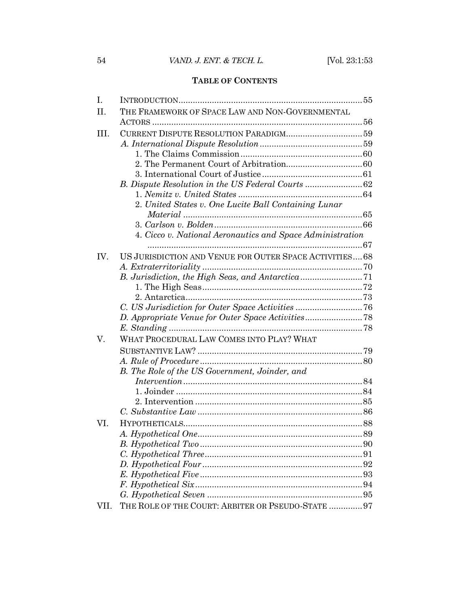## **TABLE OF CONTENTS**

| I.   |                                                           |    |
|------|-----------------------------------------------------------|----|
| II.  | THE FRAMEWORK OF SPACE LAW AND NON-GOVERNMENTAL           |    |
|      |                                                           |    |
| III. |                                                           |    |
|      |                                                           |    |
|      |                                                           |    |
|      |                                                           |    |
|      |                                                           |    |
|      |                                                           |    |
|      |                                                           |    |
|      | 2. United States v. One Lucite Ball Containing Lunar      |    |
|      |                                                           |    |
|      |                                                           |    |
|      | 4. Cicco v. National Aeronautics and Space Administration |    |
|      |                                                           |    |
| IV.  | US JURISDICTION AND VENUE FOR OUTER SPACE ACTIVITIES 68   |    |
|      |                                                           |    |
|      |                                                           |    |
|      |                                                           |    |
|      |                                                           |    |
|      |                                                           |    |
|      |                                                           |    |
|      |                                                           |    |
| V.   | WHAT PROCEDURAL LAW COMES INTO PLAY? WHAT                 |    |
|      |                                                           |    |
|      |                                                           |    |
|      | B. The Role of the US Government, Joinder, and            |    |
|      |                                                           |    |
|      |                                                           |    |
|      |                                                           |    |
|      |                                                           |    |
| VI.  |                                                           |    |
|      |                                                           |    |
|      |                                                           |    |
|      |                                                           | 91 |
|      |                                                           |    |
|      |                                                           |    |
|      |                                                           |    |
|      |                                                           |    |
| VII. | THE ROLE OF THE COURT: ARBITER OR PSEUDO-STATE  97        |    |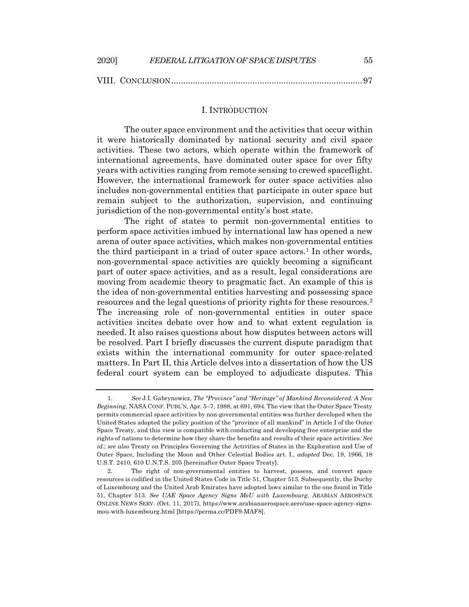| 2020] | FEDERAL LITIGATION OF SPACE DISPUTES | $55\,$ |
|-------|--------------------------------------|--------|
|       |                                      |        |

## I. INTRODUCTION

The outer space environment and the activities that occur within it were historically dominated by national security and civil space activities. These two actors, which operate within the framework of international agreements, have dominated outer space for over fifty years with activities ranging from remote sensing to crewed spaceflight. However, the international framework for outer space activities also includes non-governmental entities that participate in outer space but remain subject to the authorization, supervision, and continuing jurisdiction of the non-governmental entity's host state.

The right of states to permit non-governmental entities to perform space activities imbued by international law has opened a new arena of outer space activities, which makes non-governmental entities the third participant in a triad of outer space actors.<sup>1</sup> In other words, non-governmental space activities are quickly becoming a significant part of outer space activities, and as a result, legal considerations are moving from academic theory to pragmatic fact. An example of this is the idea of non-governmental entities harvesting and possessing space resources and the legal questions of priority rights for these resources.2 The increasing role of non-governmental entities in outer space activities incites debate over how and to what extent regulation is needed. It also raises questions about how disputes between actors will be resolved. Part I briefly discusses the current dispute paradigm that exists within the international community for outer space-related matters. In Part II, this Article delves into a dissertation of how the US federal court system can be employed to adjudicate disputes. This

<sup>1</sup>*. See* J.I. Gabrynowicz, *The "Province" and "Heritage" of Mankind Reconsidered: A New Beginning*, NASA CONF. PUBL'N, Apr. 5–7, 1988, at 691, 694. The view that the Outer Space Treaty permits commercial space activities by non-governmental entities was further developed when the United States adopted the policy position of the "province of all mankind" in Article I of the Outer Space Treaty, and this view is compatible with conducting and developing free enterprise and the rights of nations to determine how they share the benefits and results of their space activities. *See id.*; *see also* Treaty on Principles Governing the Activities of States in the Exploration and Use of Outer Space, Including the Moon and Other Celestial Bodies art. I., *adopted* Dec. 19, 1966, 18 U.S.T. 2410, 610 U.N.T.S. 205 [hereinafter Outer Space Treaty].

<sup>2.</sup> The right of non-governmental entities to harvest, possess, and convert space resources is codified in the United States Code in Title 51, Chapter 513. Subsequently, the Duchy of Luxembourg and the United Arab Emirates have adopted laws similar to the one found in Title 51, Chapter 513. *See UAE Space Agency Signs MoU with Luxembourg*, ARABIAN AEROSPACE ONLINE NEWS SERV. (Oct. 11, 2017), https://www.arabianaerospace.aero/uae-space-agency-signsmou-with-luxembourg.html [https://perma.cc/PDF9-MAF8].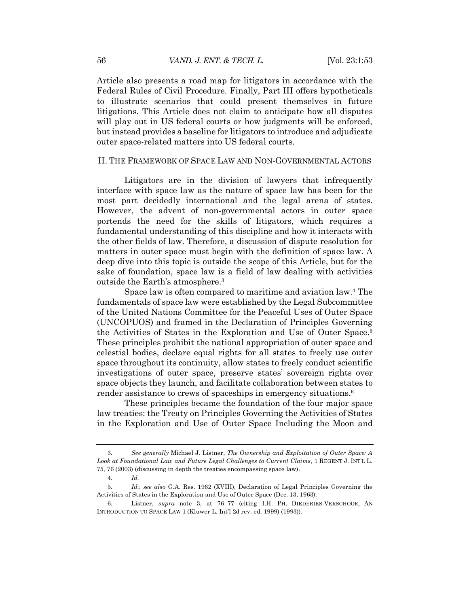Article also presents a road map for litigators in accordance with the Federal Rules of Civil Procedure. Finally, Part III offers hypotheticals to illustrate scenarios that could present themselves in future litigations. This Article does not claim to anticipate how all disputes will play out in US federal courts or how judgments will be enforced, but instead provides a baseline for litigators to introduce and adjudicate outer space-related matters into US federal courts.

## II. THE FRAMEWORK OF SPACE LAW AND NON-GOVERNMENTAL ACTORS

Litigators are in the division of lawyers that infrequently interface with space law as the nature of space law has been for the most part decidedly international and the legal arena of states. However, the advent of non-governmental actors in outer space portends the need for the skills of litigators, which requires a fundamental understanding of this discipline and how it interacts with the other fields of law. Therefore, a discussion of dispute resolution for matters in outer space must begin with the definition of space law. A deep dive into this topic is outside the scope of this Article, but for the sake of foundation, space law is a field of law dealing with activities outside the Earth's atmosphere.3

Space law is often compared to maritime and aviation law.4 The fundamentals of space law were established by the Legal Subcommittee of the United Nations Committee for the Peaceful Uses of Outer Space (UNCOPUOS) and framed in the Declaration of Principles Governing the Activities of States in the Exploration and Use of Outer Space.5 These principles prohibit the national appropriation of outer space and celestial bodies, declare equal rights for all states to freely use outer space throughout its continuity, allow states to freely conduct scientific investigations of outer space, preserve states' sovereign rights over space objects they launch, and facilitate collaboration between states to render assistance to crews of spaceships in emergency situations.6

These principles became the foundation of the four major space law treaties: the Treaty on Principles Governing the Activities of States in the Exploration and Use of Outer Space Including the Moon and

<sup>3</sup>*. See generally* Michael J. Listner, *The Ownership and Exploitation of Outer Space: A Look at Foundational Law and Future Legal Challenges to Current Claims*, 1 REGENT J. INT'L L. 75, 76 (2003) (discussing in depth the treaties encompassing space law).

<sup>4</sup>*. Id.*

<sup>5</sup>*. Id.*; *see also* G.A. Res. 1962 (XVIII), Declaration of Legal Principles Governing the Activities of States in the Exploration and Use of Outer Space (Dec. 13, 1963).

<sup>6.</sup> Listner, *supra* note 3, at 76–77 (citing I.H. PH. DIEDERIKS-VERSCHOOR, AN INTRODUCTION TO SPACE LAW 1 (Kluwer L. Int'l 2d rev. ed. 1999) (1993)).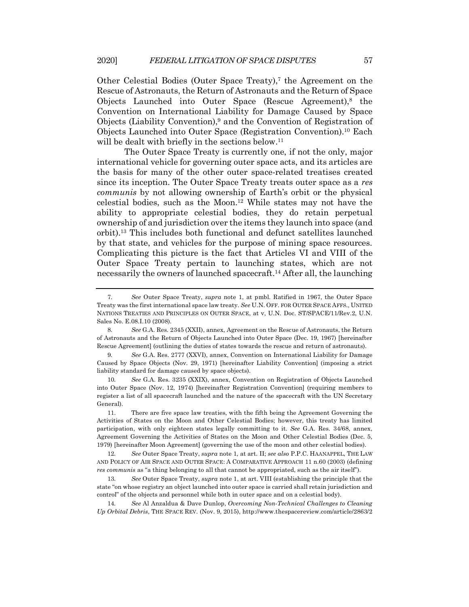Other Celestial Bodies (Outer Space Treaty),<sup>7</sup> the Agreement on the Rescue of Astronauts, the Return of Astronauts and the Return of Space Objects Launched into Outer Space (Rescue Agreement), $8$  the Convention on International Liability for Damage Caused by Space Objects (Liability Convention),9 and the Convention of Registration of Objects Launched into Outer Space (Registration Convention).10 Each will be dealt with briefly in the sections below.<sup>11</sup>

The Outer Space Treaty is currently one, if not the only, major international vehicle for governing outer space acts, and its articles are the basis for many of the other outer space-related treatises created since its inception. The Outer Space Treaty treats outer space as a *res communis* by not allowing ownership of Earth's orbit or the physical celestial bodies, such as the Moon.12 While states may not have the ability to appropriate celestial bodies, they do retain perpetual ownership of and jurisdiction over the items they launch into space (and orbit).13 This includes both functional and defunct satellites launched by that state, and vehicles for the purpose of mining space resources. Complicating this picture is the fact that Articles VI and VIII of the Outer Space Treaty pertain to launching states, which are not necessarily the owners of launched spacecraft.14 After all, the launching

<sup>7</sup>*. See* Outer Space Treaty, *supra* note 1, at pmbl. Ratified in 1967, the Outer Space Treaty was the first international space law treaty. *See* U.N. OFF. FOR OUTER SPACE AFFS., UNITED NATIONS TREATIES AND PRINCIPLES ON OUTER SPACE, at v, U.N. Doc. ST/SPACE/11/Rev.2, U.N. Sales No. E.08.I.10 (2008).

<sup>8</sup>*. See* G.A. Res. 2345 (XXII), annex, Agreement on the Rescue of Astronauts, the Return of Astronauts and the Return of Objects Launched into Outer Space (Dec. 19, 1967) [hereinafter Rescue Agreement] (outlining the duties of states towards the rescue and return of astronauts).

<sup>9</sup>*. See* G.A. Res. 2777 (XXVI), annex, Convention on International Liability for Damage Caused by Space Objects (Nov. 29, 1971) [hereinafter Liability Convention] (imposing a strict liability standard for damage caused by space objects).

<sup>10</sup>*. See* G.A. Res. 3235 (XXIX), annex, Convention on Registration of Objects Launched into Outer Space (Nov. 12, 1974) [hereinafter Registration Convention] (requiring members to register a list of all spacecraft launched and the nature of the spacecraft with the UN Secretary General).

<sup>11.</sup> There are five space law treaties, with the fifth being the Agreement Governing the Activities of States on the Moon and Other Celestial Bodies; however, this treaty has limited participation, with only eighteen states legally committing to it. *See* G.A. Res. 34/68, annex, Agreement Governing the Activities of States on the Moon and Other Celestial Bodies (Dec. 5, 1979) [hereinafter Moon Agreement] (governing the use of the moon and other celestial bodies).

<sup>12</sup>*. See* Outer Space Treaty, *supra* note 1, at art. II; *see also* P.P.C. HAANAPPEL, THE LAW AND POLICY OF AIR SPACE AND OUTER SPACE: A COMPARATIVE APPROACH 11 n.60 (2003) (defining *res communis* as "a thing belonging to all that cannot be appropriated, such as the air itself").

<sup>13</sup>*. See* Outer Space Treaty, *supra* note 1, at art. VIII (establishing the principle that the state "on whose registry an object launched into outer space is carried shall retain jurisdiction and control" of the objects and personnel while both in outer space and on a celestial body).

<sup>14</sup>*. See* Al Anzaldua & Dave Dunlop, *Overcoming Non-Technical Challenges to Cleaning Up Orbital Debris*, THE SPACE REV. (Nov. 9, 2015), http://www.thespacereview.com/article/2863/2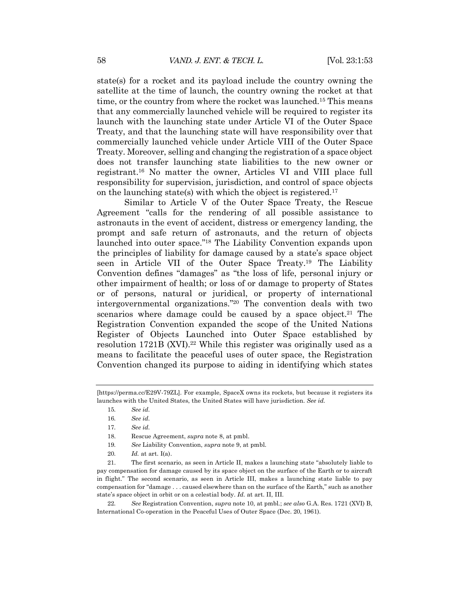state(s) for a rocket and its payload include the country owning the satellite at the time of launch, the country owning the rocket at that time, or the country from where the rocket was launched.15 This means that any commercially launched vehicle will be required to register its launch with the launching state under Article VI of the Outer Space Treaty, and that the launching state will have responsibility over that commercially launched vehicle under Article VIII of the Outer Space Treaty. Moreover, selling and changing the registration of a space object does not transfer launching state liabilities to the new owner or registrant.16 No matter the owner, Articles VI and VIII place full responsibility for supervision, jurisdiction, and control of space objects on the launching state(s) with which the object is registered.<sup>17</sup>

Similar to Article V of the Outer Space Treaty, the Rescue Agreement "calls for the rendering of all possible assistance to astronauts in the event of accident, distress or emergency landing, the prompt and safe return of astronauts, and the return of objects launched into outer space."18 The Liability Convention expands upon the principles of liability for damage caused by a state's space object seen in Article VII of the Outer Space Treaty.19 The Liability Convention defines "damages" as "the loss of life, personal injury or other impairment of health; or loss of or damage to property of States or of persons, natural or juridical, or property of international intergovernmental organizations."20 The convention deals with two scenarios where damage could be caused by a space object.<sup>21</sup> The Registration Convention expanded the scope of the United Nations Register of Objects Launched into Outer Space established by resolution 1721B (XVI).<sup>22</sup> While this register was originally used as a means to facilitate the peaceful uses of outer space, the Registration Convention changed its purpose to aiding in identifying which states

<sup>[</sup>https://perma.cc/E29V-79ZL]. For example, SpaceX owns its rockets, but because it registers its launches with the United States, the United States will have jurisdiction. *See id.*

<sup>15</sup>*. See id.*

<sup>16</sup>*. See id.*

<sup>17</sup>*. See id.*

<sup>18.</sup> Rescue Agreement, *supra* note 8, at pmbl.

<sup>19</sup>*. See* Liability Convention, *supra* note 9, at pmbl.

<sup>20</sup>*. Id.* at art. I(a).

<sup>21.</sup> The first scenario, as seen in Article II, makes a launching state "absolutely liable to pay compensation for damage caused by its space object on the surface of the Earth or to aircraft in flight." The second scenario, as seen in Article III, makes a launching state liable to pay compensation for "damage . . . caused elsewhere than on the surface of the Earth," such as another state's space object in orbit or on a celestial body. *Id.* at art. II, III.

<sup>22</sup>*. See* Registration Convention, *supra* note 10, at pmbl.; *see also* G.A. Res. 1721 (XVI) B, International Co-operation in the Peaceful Uses of Outer Space (Dec. 20, 1961).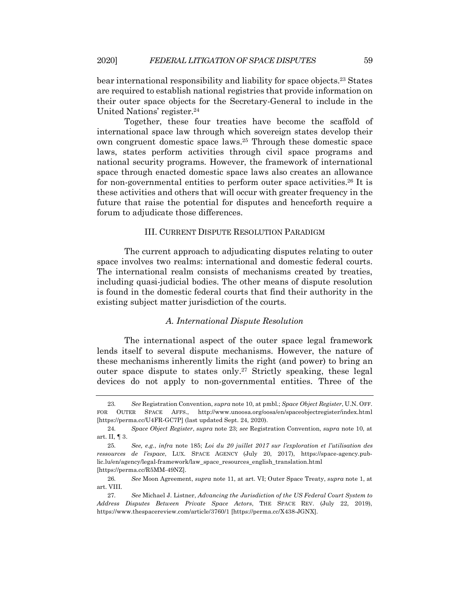bear international responsibility and liability for space objects.23 States are required to establish national registries that provide information on their outer space objects for the Secretary-General to include in the United Nations' register.24

Together, these four treaties have become the scaffold of international space law through which sovereign states develop their own congruent domestic space laws.25 Through these domestic space laws, states perform activities through civil space programs and national security programs. However, the framework of international space through enacted domestic space laws also creates an allowance for non-governmental entities to perform outer space activities.26 It is these activities and others that will occur with greater frequency in the future that raise the potential for disputes and henceforth require a forum to adjudicate those differences.

## III. CURRENT DISPUTE RESOLUTION PARADIGM

The current approach to adjudicating disputes relating to outer space involves two realms: international and domestic federal courts. The international realm consists of mechanisms created by treaties, including quasi-judicial bodies. The other means of dispute resolution is found in the domestic federal courts that find their authority in the existing subject matter jurisdiction of the courts.

## *A. International Dispute Resolution*

The international aspect of the outer space legal framework lends itself to several dispute mechanisms. However, the nature of these mechanisms inherently limits the right (and power) to bring an outer space dispute to states only.27 Strictly speaking, these legal devices do not apply to non-governmental entities. Three of the

<sup>23</sup>*. See* Registration Convention, *supra* note 10, at pmbl.; *Space Object Register*, U.N. OFF. FOR OUTER SPACE AFFS., http://www.unoosa.org/oosa/en/spaceobjectregister/index.html [https://perma.cc/U4FR-GC7P] (last updated Sept. 24, 2020).

<sup>24</sup>*. Space Object Register*, *supra* note 23; *see* Registration Convention, *supra* note 10, at art. II, ¶ 3.

<sup>25</sup>*. See, e.g.*, *infra* note 185; *Loi du 20 juillet 2017 sur l'exploration et l'utilisation des ressources de l'espace*, LUX. SPACE AGENCY (July 20, 2017), https://space-agency.public.lu/en/agency/legal-framework/law\_space\_resources\_english\_translation.html [https://perma.cc/R5MM-49NZ].

<sup>26</sup>*. See* Moon Agreement, *supra* note 11, at art. VI; Outer Space Treaty, *supra* note 1, at art. VIII.

<sup>27</sup>*. See* Michael J. Listner, *Advancing the Jurisdiction of the US Federal Court System to Address Disputes Between Private Space Actors*, THE SPACE REV. (July 22, 2019), https://www.thespacereview.com/article/3760/1 [https://perma.cc/X438-JGNX].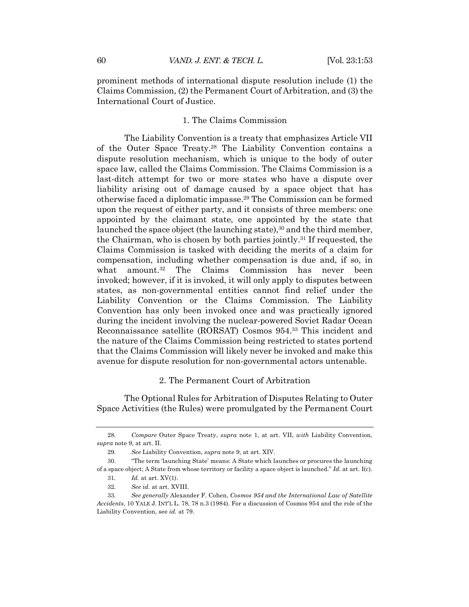prominent methods of international dispute resolution include (1) the Claims Commission, (2) the Permanent Court of Arbitration, and (3) the International Court of Justice.

#### 1. The Claims Commission

The Liability Convention is a treaty that emphasizes Article VII of the Outer Space Treaty.28 The Liability Convention contains a dispute resolution mechanism, which is unique to the body of outer space law, called the Claims Commission. The Claims Commission is a last-ditch attempt for two or more states who have a dispute over liability arising out of damage caused by a space object that has otherwise faced a diplomatic impasse.29 The Commission can be formed upon the request of either party, and it consists of three members: one appointed by the claimant state, one appointed by the state that launched the space object (the launching state),<sup>30</sup> and the third member, the Chairman, who is chosen by both parties jointly.31 If requested, the Claims Commission is tasked with deciding the merits of a claim for compensation, including whether compensation is due and, if so, in what amount.<sup>32</sup> The Claims Commission has never been invoked; however, if it is invoked, it will only apply to disputes between states, as non-governmental entities cannot find relief under the Liability Convention or the Claims Commission. The Liability Convention has only been invoked once and was practically ignored during the incident involving the nuclear-powered Soviet Radar Ocean Reconnaissance satellite (RORSAT) Cosmos 954.33 This incident and the nature of the Claims Commission being restricted to states portend that the Claims Commission will likely never be invoked and make this avenue for dispute resolution for non-governmental actors untenable.

#### 2. The Permanent Court of Arbitration

The Optional Rules for Arbitration of Disputes Relating to Outer Space Activities (the Rules) were promulgated by the Permanent Court

<sup>28</sup>*. Compare* Outer Space Treaty, *supra* note 1, at art. VII, *with* Liability Convention, *supra* note 9, at art. II.

<sup>29</sup>*. See* Liability Convention, *supra* note 9, at art. XIV.

<sup>30.</sup> "The term 'launching State' means: A State which launches or procures the launching of a space object; A State from whose territory or facility a space object is launched." *Id.* at art. I(c).

<sup>31</sup>*. Id.* at art. XV(1).

<sup>32</sup>*. See id.* at art. XVIII.

<sup>33</sup>*. See generally* Alexander F. Cohen, *Cosmos 954 and the International Law of Satellite Accidents*, 10 YALE J. INT'L L. 78, 78 n.3 (1984). For a discussion of Cosmos 954 and the role of the Liability Convention, see *id.* at 79.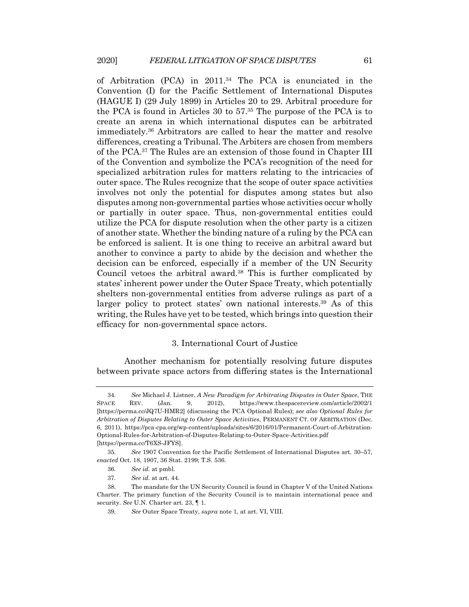of Arbitration (PCA) in 2011.34 The PCA is enunciated in the Convention (I) for the Pacific Settlement of International Disputes (HAGUE I) (29 July 1899) in Articles 20 to 29. Arbitral procedure for the PCA is found in Articles 30 to 57.35 The purpose of the PCA is to create an arena in which international disputes can be arbitrated immediately.36 Arbitrators are called to hear the matter and resolve differences, creating a Tribunal. The Arbiters are chosen from members of the PCA.37 The Rules are an extension of those found in Chapter III of the Convention and symbolize the PCA's recognition of the need for specialized arbitration rules for matters relating to the intricacies of outer space. The Rules recognize that the scope of outer space activities involves not only the potential for disputes among states but also disputes among non-governmental parties whose activities occur wholly or partially in outer space. Thus, non-governmental entities could utilize the PCA for dispute resolution when the other party is a citizen of another state. Whether the binding nature of a ruling by the PCA can be enforced is salient. It is one thing to receive an arbitral award but another to convince a party to abide by the decision and whether the decision can be enforced, especially if a member of the UN Security Council vetoes the arbitral award.38 This is further complicated by states' inherent power under the Outer Space Treaty, which potentially shelters non-governmental entities from adverse rulings as part of a larger policy to protect states' own national interests.<sup>39</sup> As of this writing, the Rules have yet to be tested, which brings into question their efficacy for non-governmental space actors.

#### 3. International Court of Justice

Another mechanism for potentially resolving future disputes between private space actors from differing states is the International

<sup>34</sup>*. See* Michael J. Listner, *A New Paradigm for Arbitrating Disputes in Outer Space*, THE SPACE REV. (Jan. 9, 2012), https://www.thespacereview.com/article/2002/1 [https://perma.cc/JQ7U-HMR2] (discussing the PCA Optional Rules); *see also Optional Rules for Arbitration of Disputes Relating to Outer Space Activities*, PERMANENT CT. OF ARBITRATION (Dec. 6, 2011), https://pca-cpa.org/wp-content/uploads/sites/6/2016/01/Permanent-Court-of-Arbitration-Optional-Rules-for-Arbitration-of-Disputes-Relating-to-Outer-Space-Activities.pdf [https://perma.cc/T6XS-JFYS].

<sup>35</sup>*. See* 1907 Convention for the Pacific Settlement of International Disputes art. 30–57, *enacted* Oct. 18, 1907, 36 Stat. 2199; T.S. 536.

<sup>36</sup>*. See id.* at pmbl.

<sup>37</sup>*. See id.* at art. 44.

<sup>38.</sup> The mandate for the UN Security Council is found in Chapter V of the United Nations Charter. The primary function of the Security Council is to maintain international peace and security. *See* U.N. Charter art. 23, ¶ 1.

<sup>39</sup>*. See* Outer Space Treaty, *supra* note 1, at art. VI, VIII.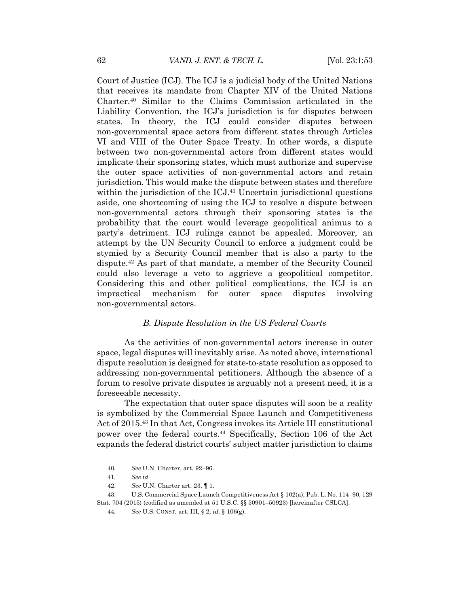Court of Justice (ICJ). The ICJ is a judicial body of the United Nations that receives its mandate from Chapter XIV of the United Nations Charter.40 Similar to the Claims Commission articulated in the Liability Convention, the ICJ's jurisdiction is for disputes between states. In theory, the ICJ could consider disputes between non-governmental space actors from different states through Articles VI and VIII of the Outer Space Treaty. In other words, a dispute between two non-governmental actors from different states would implicate their sponsoring states, which must authorize and supervise the outer space activities of non-governmental actors and retain jurisdiction. This would make the dispute between states and therefore within the jurisdiction of the ICJ.<sup>41</sup> Uncertain jurisdictional questions aside, one shortcoming of using the ICJ to resolve a dispute between non-governmental actors through their sponsoring states is the probability that the court would leverage geopolitical animus to a party's detriment. ICJ rulings cannot be appealed. Moreover, an attempt by the UN Security Council to enforce a judgment could be stymied by a Security Council member that is also a party to the dispute.42 As part of that mandate, a member of the Security Council could also leverage a veto to aggrieve a geopolitical competitor. Considering this and other political complications, the ICJ is an impractical mechanism for outer space disputes involving non-governmental actors.

#### *B. Dispute Resolution in the US Federal Courts*

As the activities of non-governmental actors increase in outer space, legal disputes will inevitably arise. As noted above, international dispute resolution is designed for state-to-state resolution as opposed to addressing non-governmental petitioners. Although the absence of a forum to resolve private disputes is arguably not a present need, it is a foreseeable necessity.

The expectation that outer space disputes will soon be a reality is symbolized by the Commercial Space Launch and Competitiveness Act of 2015.43 In that Act, Congress invokes its Article III constitutional power over the federal courts.44 Specifically, Section 106 of the Act expands the federal district courts' subject matter jurisdiction to claims

<sup>40</sup>*. See* U.N. Charter, art. 92–96.

<sup>41</sup>*. See id.*

<sup>42.</sup> *See* U.N. Charter art. 23, ¶ 1.

<sup>43.</sup> U.S. Commercial Space Launch Competitiveness Act § 102(a), Pub. L. No. 114–90, 129 Stat. 704 (2015) (codified as amended at 51 U.S.C. §§ 50901–50923) [hereinafter CSLCA].

<sup>44</sup>*. See* U.S. CONST. art. III, § 2; *id.* § 106(g).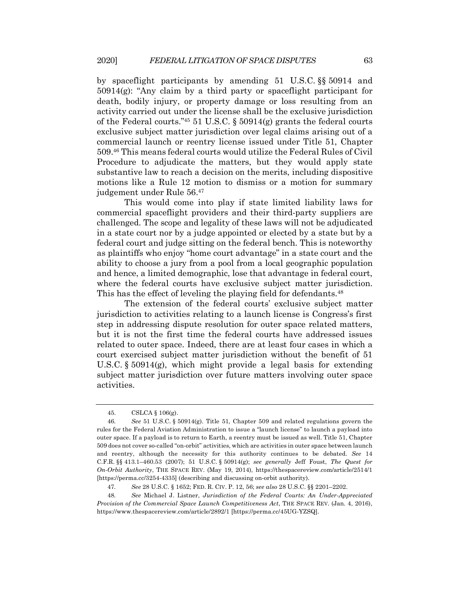by spaceflight participants by amending 51 U.S.C. §§ 50914 and 50914(g): "Any claim by a third party or spaceflight participant for death, bodily injury, or property damage or loss resulting from an activity carried out under the license shall be the exclusive jurisdiction of the Federal courts."<sup>45</sup> 51 U.S.C. § 50914(g) grants the federal courts exclusive subject matter jurisdiction over legal claims arising out of a commercial launch or reentry license issued under Title 51, Chapter 509.46 This means federal courts would utilize the Federal Rules of Civil Procedure to adjudicate the matters, but they would apply state substantive law to reach a decision on the merits, including dispositive motions like a Rule 12 motion to dismiss or a motion for summary judgement under Rule 56.47

This would come into play if state limited liability laws for commercial spaceflight providers and their third-party suppliers are challenged. The scope and legality of these laws will not be adjudicated in a state court nor by a judge appointed or elected by a state but by a federal court and judge sitting on the federal bench. This is noteworthy as plaintiffs who enjoy "home court advantage" in a state court and the ability to choose a jury from a pool from a local geographic population and hence, a limited demographic, lose that advantage in federal court, where the federal courts have exclusive subject matter jurisdiction. This has the effect of leveling the playing field for defendants.<sup>48</sup>

The extension of the federal courts' exclusive subject matter jurisdiction to activities relating to a launch license is Congress's first step in addressing dispute resolution for outer space related matters, but it is not the first time the federal courts have addressed issues related to outer space. Indeed, there are at least four cases in which a court exercised subject matter jurisdiction without the benefit of 51 U.S.C.  $\S 50914(g)$ , which might provide a legal basis for extending subject matter jurisdiction over future matters involving outer space activities.

<sup>45.</sup> CSLCA § 106(g).

<sup>46</sup>*. See* 51 U.S.C. § 50914(g). Title 51, Chapter 509 and related regulations govern the rules for the Federal Aviation Administration to issue a "launch license" to launch a payload into outer space. If a payload is to return to Earth, a reentry must be issued as well. Title 51, Chapter 509 does not cover so-called "on-orbit" activities, which are activities in outer space between launch and reentry, although the necessity for this authority continues to be debated. *See* 14 C.F.R. §§ 413.1–460.53 (2007); 51 U.S.C. § 50914(g); *see generally* Jeff Foust, *The Quest for On-Orbit Authority*, THE SPACE REV. (May 19, 2014), https://thespacereview.com/article/2514/1 [https://perma.cc/3254-4335] (describing and discussing on-orbit authority).

<sup>47</sup>*. See* 28 U.S.C. § 1652; FED. R. CIV. P. 12, 56; *see also* 28 U.S.C. §§ 2201–2202.

<sup>48</sup>*. See* Michael J. Listner, *Jurisdiction of the Federal Courts: An Under-Appreciated Provision of the Commercial Space Launch Competitiveness Act*, THE SPACE REV. (Jan. 4, 2016), https://www.thespacereview.com/article/2892/1 [https://perma.cc/45UG-YZSQ].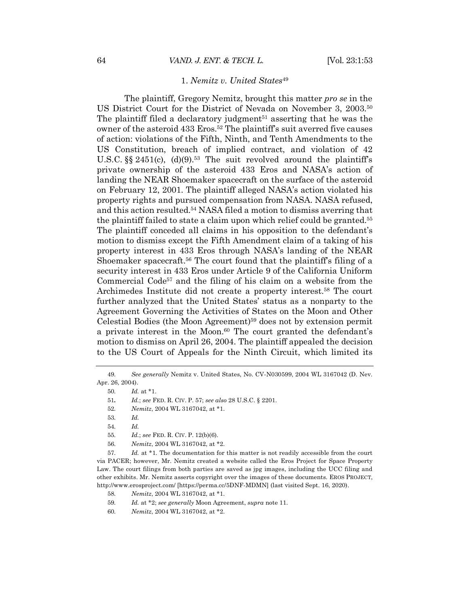## 1. *Nemitz v. United States*<sup>49</sup>

The plaintiff, Gregory Nemitz, brought this matter *pro se* in the US District Court for the District of Nevada on November 3, 2003.50 The plaintiff filed a declaratory judgment $51$  asserting that he was the owner of the asteroid 433 Eros.52 The plaintiff's suit averred five causes of action: violations of the Fifth, Ninth, and Tenth Amendments to the US Constitution, breach of implied contract, and violation of 42 U.S.C.  $\S$  2451(c), (d)(9).<sup>53</sup> The suit revolved around the plaintiff's private ownership of the asteroid 433 Eros and NASA's action of landing the NEAR Shoemaker spacecraft on the surface of the asteroid on February 12, 2001. The plaintiff alleged NASA's action violated his property rights and pursued compensation from NASA. NASA refused, and this action resulted.54 NASA filed a motion to dismiss averring that the plaintiff failed to state a claim upon which relief could be granted.55 The plaintiff conceded all claims in his opposition to the defendant's motion to dismiss except the Fifth Amendment claim of a taking of his property interest in 433 Eros through NASA's landing of the NEAR Shoemaker spacecraft.<sup>56</sup> The court found that the plaintiff's filing of a security interest in 433 Eros under Article 9 of the California Uniform Commercial Code<sup>57</sup> and the filing of his claim on a website from the Archimedes Institute did not create a property interest.58 The court further analyzed that the United States' status as a nonparty to the Agreement Governing the Activities of States on the Moon and Other Celestial Bodies (the Moon Agreement)59 does not by extension permit a private interest in the Moon.<sup>60</sup> The court granted the defendant's motion to dismiss on April 26, 2004. The plaintiff appealed the decision to the US Court of Appeals for the Ninth Circuit, which limited its

<sup>49</sup>*. See generally* Nemitz v. United States, No. CV-N030599, 2004 WL 3167042 (D. Nev. Apr. 26, 2004).

<sup>50</sup>*. Id.* at \*1.

<sup>51</sup>*. Id.*; *see* FED. R. CIV. P. 57; *see also* 28 U.S.C. § 2201.

<sup>52</sup>*. Nemitz*, 2004 WL 3167042, at \*1.

<sup>53</sup>*. Id.*

<sup>54</sup>*. Id.*

<sup>55</sup>*. Id.*; *see* FED. R. CIV. P. 12(b)(6).

<sup>56</sup>*. Nemitz*, 2004 WL 3167042, at \*2.

<sup>57</sup>*. Id.* at \*1. The documentation for this matter is not readily accessible from the court via PACER; however, Mr. Nemitz created a website called the Eros Project for Space Property Law. The court filings from both parties are saved as jpg images, including the UCC filing and other exhibits. Mr. Nemitz asserts copyright over the images of these documents. EROS PROJECT, http://www.erosproject.com/ [https://perma.cc/5DNF-MDMN] (last visited Sept. 16, 2020).

<sup>58</sup>*. Nemitz*, 2004 WL 3167042, at \*1.

<sup>59</sup>*. Id.* at \*2; *see generally* Moon Agreement, *supra* note 11.

<sup>60</sup>*. Nemitz*, 2004 WL 3167042, at \*2.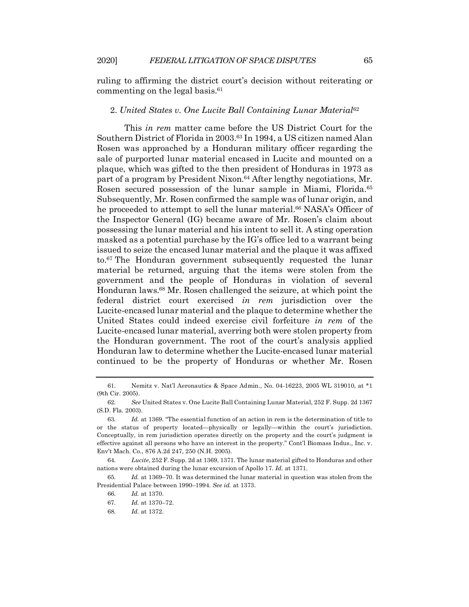ruling to affirming the district court's decision without reiterating or commenting on the legal basis.61

## 2. *United States v. One Lucite Ball Containing Lunar Material*<sup>62</sup>

This *in rem* matter came before the US District Court for the Southern District of Florida in 2003.63 In 1994, a US citizen named Alan Rosen was approached by a Honduran military officer regarding the sale of purported lunar material encased in Lucite and mounted on a plaque, which was gifted to the then president of Honduras in 1973 as part of a program by President Nixon.<sup>64</sup> After lengthy negotiations, Mr. Rosen secured possession of the lunar sample in Miami, Florida.<sup>65</sup> Subsequently, Mr. Rosen confirmed the sample was of lunar origin, and he proceeded to attempt to sell the lunar material.66 NASA's Officer of the Inspector General (IG) became aware of Mr. Rosen's claim about possessing the lunar material and his intent to sell it. A sting operation masked as a potential purchase by the IG's office led to a warrant being issued to seize the encased lunar material and the plaque it was affixed to.67 The Honduran government subsequently requested the lunar material be returned, arguing that the items were stolen from the government and the people of Honduras in violation of several Honduran laws.68 Mr. Rosen challenged the seizure, at which point the federal district court exercised *in rem* jurisdiction over the Lucite-encased lunar material and the plaque to determine whether the United States could indeed exercise civil forfeiture *in rem* of the Lucite-encased lunar material, averring both were stolen property from the Honduran government. The root of the court's analysis applied Honduran law to determine whether the Lucite-encased lunar material continued to be the property of Honduras or whether Mr. Rosen

<sup>61.</sup> Nemitz v. Nat'l Aeronautics & Space Admin., No. 04-16223, 2005 WL 319010, at \*1 (9th Cir. 2005).

<sup>62</sup>*. See* United States v. One Lucite Ball Containing Lunar Material, 252 F. Supp. 2d 1367 (S.D. Fla. 2003).

<sup>63</sup>*. Id.* at 1369. "The essential function of an action in rem is the determination of title to or the status of property located—physically or legally—within the court's jurisdiction. Conceptually, in rem jurisdiction operates directly on the property and the court's judgment is effective against all persons who have an interest in the property." Cont'l Biomass Indus., Inc. v. Env't Mach. Co., 876 A.2d 247, 250 (N.H. 2005).

<sup>64</sup>*. Lucite*, 252 F. Supp. 2d at 1369, 1371. The lunar material gifted to Honduras and other nations were obtained during the lunar excursion of Apollo 17. *Id.* at 1371.

<sup>65</sup>*. Id.* at 1369–70. It was determined the lunar material in question was stolen from the Presidential Palace between 1990–1994. *See id.* at 1373.

<sup>66</sup>*. Id.* at 1370.

<sup>67</sup>*. Id.* at 1370–72.

<sup>68</sup>*. Id.* at 1372.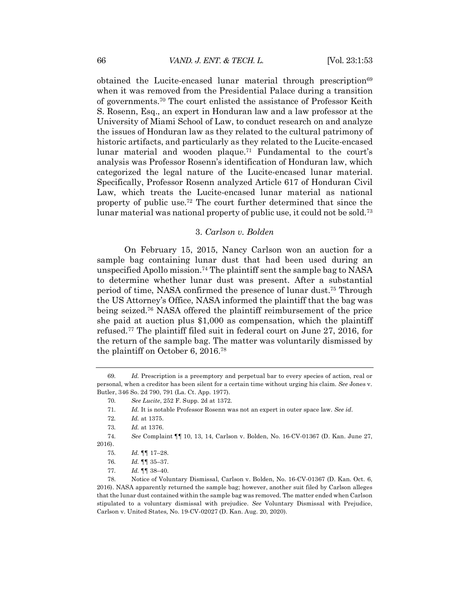obtained the Lucite-encased lunar material through prescription<sup>69</sup> when it was removed from the Presidential Palace during a transition of governments.70 The court enlisted the assistance of Professor Keith S. Rosenn, Esq., an expert in Honduran law and a law professor at the University of Miami School of Law, to conduct research on and analyze the issues of Honduran law as they related to the cultural patrimony of historic artifacts, and particularly as they related to the Lucite-encased lunar material and wooden plaque.<sup>71</sup> Fundamental to the court's analysis was Professor Rosenn's identification of Honduran law, which categorized the legal nature of the Lucite-encased lunar material. Specifically, Professor Rosenn analyzed Article 617 of Honduran Civil Law, which treats the Lucite-encased lunar material as national property of public use.72 The court further determined that since the lunar material was national property of public use, it could not be sold.73

#### 3. *Carlson v. Bolden*

On February 15, 2015, Nancy Carlson won an auction for a sample bag containing lunar dust that had been used during an unspecified Apollo mission. <sup>74</sup> The plaintiff sent the sample bag to NASA to determine whether lunar dust was present. After a substantial period of time, NASA confirmed the presence of lunar dust.75 Through the US Attorney's Office, NASA informed the plaintiff that the bag was being seized.76 NASA offered the plaintiff reimbursement of the price she paid at auction plus \$1,000 as compensation, which the plaintiff refused.77 The plaintiff filed suit in federal court on June 27, 2016, for the return of the sample bag. The matter was voluntarily dismissed by the plaintiff on October 6, 2016.78

<sup>69</sup>*. Id.* Prescription is a preemptory and perpetual bar to every species of action, real or personal, when a creditor has been silent for a certain time without urging his claim. *See* Jones v. Butler, 346 So. 2d 790, 791 (La. Ct. App. 1977).

<sup>70</sup>*. See Lucite*, 252 F. Supp. 2d at 1372.

<sup>71</sup>*. Id.* It is notable Professor Rosenn was not an expert in outer space law. *See id.*

<sup>72</sup>*. Id.* at 1375.

<sup>73</sup>*. Id.* at 1376.

<sup>74</sup>*. See* Complaint ¶¶ 10, 13, 14, Carlson v. Bolden, No. 16-CV-01367 (D. Kan. June 27, 2016).

<sup>75</sup>*. Id.* ¶¶ 17–28.

<sup>76</sup>*. Id.* ¶¶ 35–37.

<sup>77</sup>*. Id.* ¶¶ 38–40.

<sup>78.</sup> Notice of Voluntary Dismissal, Carlson v. Bolden, No. 16-CV-01367 (D. Kan. Oct. 6, 2016). NASA apparently returned the sample bag; however, another suit filed by Carlson alleges that the lunar dust contained within the sample bag was removed. The matter ended when Carlson stipulated to a voluntary dismissal with prejudice. *See* Voluntary Dismissal with Prejudice, Carlson v. United States*,* No. 19-CV-02027 (D. Kan. Aug. 20, 2020).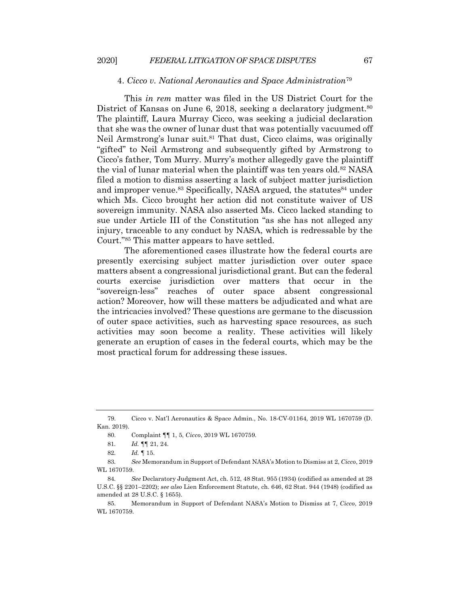#### 4. *Cicco v. National Aeronautics and Space Administration*<sup>79</sup>

This *in rem* matter was filed in the US District Court for the District of Kansas on June 6, 2018, seeking a declaratory judgment.<sup>80</sup> The plaintiff, Laura Murray Cicco, was seeking a judicial declaration that she was the owner of lunar dust that was potentially vacuumed off Neil Armstrong's lunar suit.<sup>81</sup> That dust, Cicco claims, was originally "gifted" to Neil Armstrong and subsequently gifted by Armstrong to Cicco's father, Tom Murry. Murry's mother allegedly gave the plaintiff the vial of lunar material when the plaintiff was ten years old.<sup>82</sup> NASA filed a motion to dismiss asserting a lack of subject matter jurisdiction and improper venue.<sup>83</sup> Specifically, NASA argued, the statutes<sup>84</sup> under which Ms. Cicco brought her action did not constitute waiver of US sovereign immunity. NASA also asserted Ms. Cicco lacked standing to sue under Article III of the Constitution "as she has not alleged any injury, traceable to any conduct by NASA, which is redressable by the Court."85 This matter appears to have settled.

The aforementioned cases illustrate how the federal courts are presently exercising subject matter jurisdiction over outer space matters absent a congressional jurisdictional grant. But can the federal courts exercise jurisdiction over matters that occur in the "sovereign-less" reaches of outer space absent congressional action? Moreover, how will these matters be adjudicated and what are the intricacies involved? These questions are germane to the discussion of outer space activities, such as harvesting space resources, as such activities may soon become a reality. These activities will likely generate an eruption of cases in the federal courts, which may be the most practical forum for addressing these issues.

<sup>79.</sup> Cicco v. Nat'l Aeronautics & Space Admin., No. 18-CV-01164, 2019 WL 1670759 (D. Kan. 2019).

<sup>80.</sup> Complaint ¶¶ 1, 5, *Cicco*, 2019 WL 1670759.

<sup>81</sup>*. Id.* ¶¶ 21, 24.

<sup>82</sup>*. Id.* ¶ 15.

<sup>83</sup>*. See* Memorandum in Support of Defendant NASA's Motion to Dismiss at 2, *Cicco*, 2019 WL 1670759.

<sup>84</sup>*. See* Declaratory Judgment Act, ch. 512, 48 Stat. 955 (1934) (codified as amended at 28 U.S.C. §§ 2201–2202); *see also* Lien Enforcement Statute, ch. 646, 62 Stat. 944 (1948) (codified as amended at 28 U.S.C. § 1655).

<sup>85.</sup> Memorandum in Support of Defendant NASA's Motion to Dismiss at 7, *Cicco*, 2019 WL 1670759.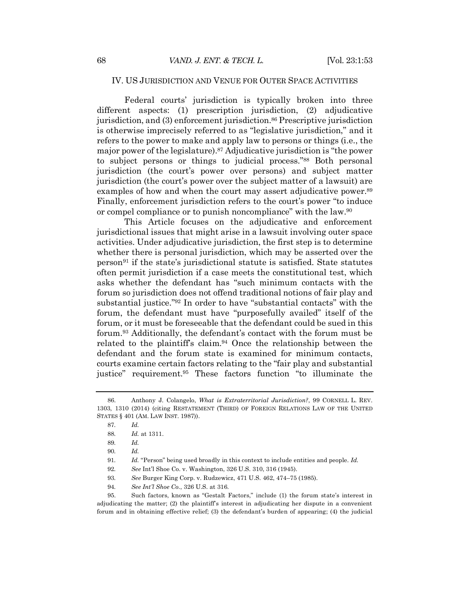#### IV. US JURISDICTION AND VENUE FOR OUTER SPACE ACTIVITIES

Federal courts' jurisdiction is typically broken into three different aspects: (1) prescription jurisdiction, (2) adjudicative jurisdiction, and (3) enforcement jurisdiction.<sup>86</sup> Prescriptive jurisdiction is otherwise imprecisely referred to as "legislative jurisdiction," and it refers to the power to make and apply law to persons or things (i.e., the major power of the legislature).87 Adjudicative jurisdiction is "the power to subject persons or things to judicial process."88 Both personal jurisdiction (the court's power over persons) and subject matter jurisdiction (the court's power over the subject matter of a lawsuit) are examples of how and when the court may assert adjudicative power.<sup>89</sup> Finally, enforcement jurisdiction refers to the court's power "to induce or compel compliance or to punish noncompliance" with the law.90

This Article focuses on the adjudicative and enforcement jurisdictional issues that might arise in a lawsuit involving outer space activities. Under adjudicative jurisdiction, the first step is to determine whether there is personal jurisdiction, which may be asserted over the person<sup>91</sup> if the state's jurisdictional statute is satisfied. State statutes often permit jurisdiction if a case meets the constitutional test, which asks whether the defendant has "such minimum contacts with the forum so jurisdiction does not offend traditional notions of fair play and substantial justice."92 In order to have "substantial contacts" with the forum, the defendant must have "purposefully availed" itself of the forum, or it must be foreseeable that the defendant could be sued in this forum.93 Additionally, the defendant's contact with the forum must be related to the plaintiff's claim.94 Once the relationship between the defendant and the forum state is examined for minimum contacts, courts examine certain factors relating to the "fair play and substantial justice" requirement.<sup>95</sup> These factors function "to illuminate the

<sup>86.</sup> Anthony J. Colangelo, *What is Extraterritorial Jurisdiction?*, 99 CORNELL L. REV. 1303, 1310 (2014) (citing RESTATEMENT (THIRD) OF FOREIGN RELATIONS LAW OF THE UNITED STATES § 401 (AM. LAW INST. 1987)).

<sup>87</sup>*. Id.*

<sup>88</sup>*. Id.* at 1311.

<sup>89</sup>*. Id.*

<sup>90</sup>*. Id.*

<sup>91</sup>*. Id.* "Person" being used broadly in this context to include entities and people. *Id.*

<sup>92</sup>*. See* Int'l Shoe Co. v. Washington, 326 U.S. 310, 316 (1945).

<sup>93</sup>*. See* Burger King Corp. v. Rudzewicz, 471 U.S. 462, 474–75 (1985).

<sup>94</sup>*. See Int'l Shoe Co.*, 326 U.S. at 316*.*

<sup>95.</sup> Such factors, known as "Gestalt Factors," include (1) the forum state's interest in adjudicating the matter; (2) the plaintiff's interest in adjudicating her dispute in a convenient forum and in obtaining effective relief; (3) the defendant's burden of appearing; (4) the judicial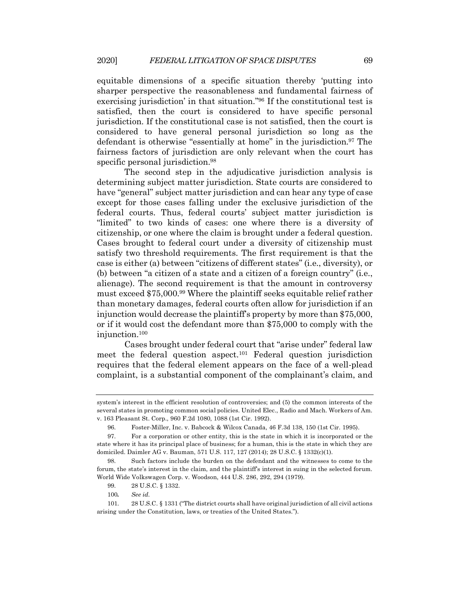equitable dimensions of a specific situation thereby 'putting into sharper perspective the reasonableness and fundamental fairness of exercising jurisdiction' in that situation."96 If the constitutional test is satisfied, then the court is considered to have specific personal jurisdiction. If the constitutional case is not satisfied, then the court is considered to have general personal jurisdiction so long as the defendant is otherwise "essentially at home" in the jurisdiction. <sup>97</sup> The fairness factors of jurisdiction are only relevant when the court has specific personal jurisdiction.<sup>98</sup>

The second step in the adjudicative jurisdiction analysis is determining subject matter jurisdiction. State courts are considered to have "general" subject matter jurisdiction and can hear any type of case except for those cases falling under the exclusive jurisdiction of the federal courts. Thus, federal courts' subject matter jurisdiction is "limited" to two kinds of cases: one where there is a diversity of citizenship, or one where the claim is brought under a federal question. Cases brought to federal court under a diversity of citizenship must satisfy two threshold requirements. The first requirement is that the case is either (a) between "citizens of different states" (i.e., diversity), or (b) between "a citizen of a state and a citizen of a foreign country" (i.e., alienage). The second requirement is that the amount in controversy must exceed \$75,000.99 Where the plaintiff seeks equitable relief rather than monetary damages, federal courts often allow for jurisdiction if an injunction would decrease the plaintiff's property by more than \$75,000, or if it would cost the defendant more than \$75,000 to comply with the injunction.100

Cases brought under federal court that "arise under" federal law meet the federal question aspect.101 Federal question jurisdiction requires that the federal element appears on the face of a well-plead complaint, is a substantial component of the complainant's claim, and

system's interest in the efficient resolution of controversies; and (5) the common interests of the several states in promoting common social policies. United Elec., Radio and Mach. Workers of Am. v. 163 Pleasant St. Corp., 960 F.2d 1080, 1088 (1st Cir. 1992).

<sup>96.</sup> Foster-Miller, Inc. v. Babcock & Wilcox Canada, 46 F.3d 138, 150 (1st Cir. 1995).

<sup>97.</sup> For a corporation or other entity, this is the state in which it is incorporated or the state where it has its principal place of business; for a human, this is the state in which they are domiciled. Daimler AG v. Bauman, 571 U.S. 117, 127 (2014); 28 U.S.C. § 1332(c)(1).

<sup>98.</sup> Such factors include the burden on the defendant and the witnesses to come to the forum, the state's interest in the claim, and the plaintiff's interest in suing in the selected forum. World Wide Volkswagen Corp. v. Woodson, 444 U.S. 286, 292, 294 (1979).

<sup>99.</sup> 28 U.S.C. § 1332.

<sup>100</sup>*. See id.*

<sup>101.</sup> 28 U.S.C. § 1331 ("The district courts shall have original jurisdiction of all civil actions arising under the Constitution, laws, or treaties of the United States.").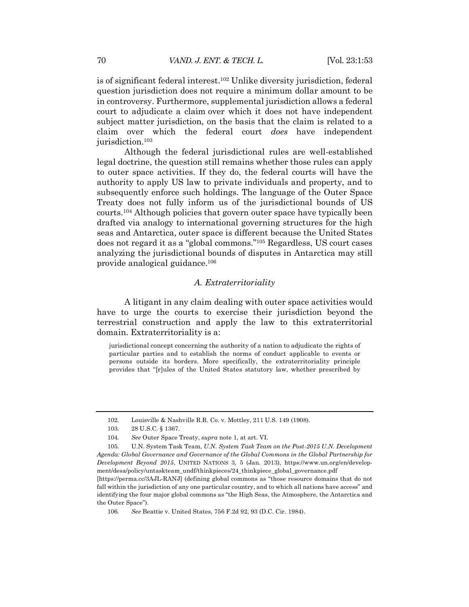is of significant federal interest.102 Unlike diversity jurisdiction, federal question jurisdiction does not require a minimum dollar amount to be in controversy. Furthermore, supplemental jurisdiction allows a federal court to adjudicate a claim over which it does not have independent subject matter jurisdiction, on the basis that the claim is related to a claim over which the federal court *does* have independent jurisdiction.<sup>103</sup>

Although the federal jurisdictional rules are well-established legal doctrine, the question still remains whether those rules can apply to outer space activities. If they do, the federal courts will have the authority to apply US law to private individuals and property, and to subsequently enforce such holdings. The language of the Outer Space Treaty does not fully inform us of the jurisdictional bounds of US courts.104 Although policies that govern outer space have typically been drafted via analogy to international governing structures for the high seas and Antarctica, outer space is different because the United States does not regard it as a "global commons."105 Regardless, US court cases analyzing the jurisdictional bounds of disputes in Antarctica may still provide analogical guidance.106

#### *A. Extraterritoriality*

A litigant in any claim dealing with outer space activities would have to urge the courts to exercise their jurisdiction beyond the terrestrial construction and apply the law to this extraterritorial domain. Extraterritoriality is a:

jurisdictional concept concerning the authority of a nation to adjudicate the rights of particular parties and to establish the norms of conduct applicable to events or persons outside its borders. More specifically, the extraterritoriality principle provides that "[r]ules of the United States statutory law, whether prescribed by

<sup>102.</sup> Louisville & Nashville R.R. Co. v. Mottley, 211 U.S. 149 (1908).

<sup>103.</sup> 28 U.S.C. § 1367.

<sup>104</sup>*. See* Outer Space Treaty, *supra* note 1, at art. VI.

<sup>105.</sup> U.N. System Task Team, *U.N. System Task Team on the Post-2015 U.N. Development Agenda: Global Governance and Governance of the Global Commons in the Global Partnership for Development Beyond 2015*, UNITED NATIONS 3, 5 (Jan. 2013), https://www.un.org/en/development/desa/policy/untaskteam\_undf/thinkpieces/24\_thinkpiece\_global\_governance.pdf

<sup>[</sup>https://perma.cc/3AJL-RANJ] (defining global commons as "those resource domains that do not fall within the jurisdiction of any one particular country, and to which all nations have access" and identifying the four major global commons as "the High Seas, the Atmosphere, the Antarctica and the Outer Space").

<sup>106</sup>*. See* Beattie v. United States, 756 F.2d 92, 93 (D.C. Cir. 1984).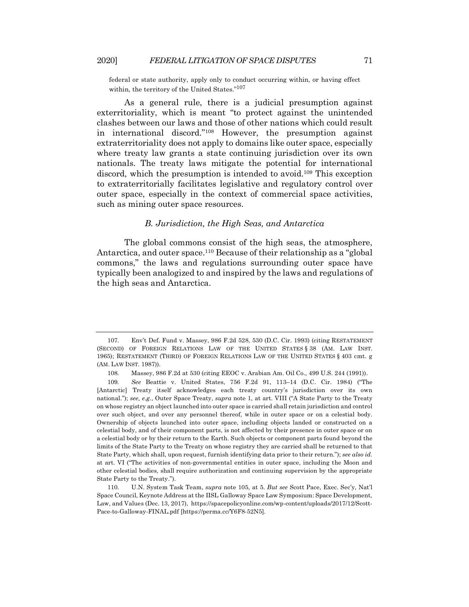federal or state authority, apply only to conduct occurring within, or having effect within, the territory of the United States."107

As a general rule, there is a judicial presumption against exterritoriality, which is meant "to protect against the unintended clashes between our laws and those of other nations which could result in international discord."108 However, the presumption against extraterritoriality does not apply to domains like outer space, especially where treaty law grants a state continuing jurisdiction over its own nationals. The treaty laws mitigate the potential for international discord, which the presumption is intended to avoid.109 This exception to extraterritorially facilitates legislative and regulatory control over outer space, especially in the context of commercial space activities, such as mining outer space resources.

## *B. Jurisdiction, the High Seas, and Antarctica*

The global commons consist of the high seas, the atmosphere, Antarctica, and outer space.<sup>110</sup> Because of their relationship as a "global" commons," the laws and regulations surrounding outer space have typically been analogized to and inspired by the laws and regulations of the high seas and Antarctica.

<sup>107.</sup> Env't Def. Fund v. Massey, 986 F.2d 528, 530 (D.C. Cir. 1993) (citing RESTATEMENT (SECOND) OF FOREIGN RELATIONS LAW OF THE UNITED STATES § 38 (AM. LAW INST. 1965); RESTATEMENT (THIRD) OF FOREIGN RELATIONS LAW OF THE UNITED STATES § 403 cmt. g (AM. LAW INST. 1987)).

<sup>108.</sup> Massey, 986 F.2d at 530 (citing EEOC v. Arabian Am. Oil Co., 499 U.S. 244 (1991)).

<sup>109</sup>*. See* Beattie v. United States, 756 F.2d 91, 113–14 (D.C. Cir. 1984) ("The [Antarctic] Treaty itself acknowledges each treaty country's jurisdiction over its own national."); *see, e.g.*, Outer Space Treaty, *supra* note 1, at art. VIII ("A State Party to the Treaty on whose registry an object launched into outer space is carried shall retain jurisdiction and control over such object, and over any personnel thereof, while in outer space or on a celestial body. Ownership of objects launched into outer space, including objects landed or constructed on a celestial body, and of their component parts, is not affected by their presence in outer space or on a celestial body or by their return to the Earth. Such objects or component parts found beyond the limits of the State Party to the Treaty on whose registry they are carried shall be returned to that State Party, which shall, upon request, furnish identifying data prior to their return."); *see also id.* at art. VI ("The activities of non-governmental entities in outer space, including the Moon and other celestial bodies, shall require authorization and continuing supervision by the appropriate State Party to the Treaty.").

<sup>110.</sup> U.N. System Task Team, *supra* note 105, at 5. *But see* Scott Pace, Exec. Sec'y, Nat'l Space Council, Keynote Address at the IISL Galloway Space Law Symposium: Space Development, Law, and Values (Dec. 13, 2017), https://spacepolicyonline.com/wp-content/uploads/2017/12/Scott-Pace-to-Galloway-FINAL.pdf [https://perma.cc/Y6F8-52N5].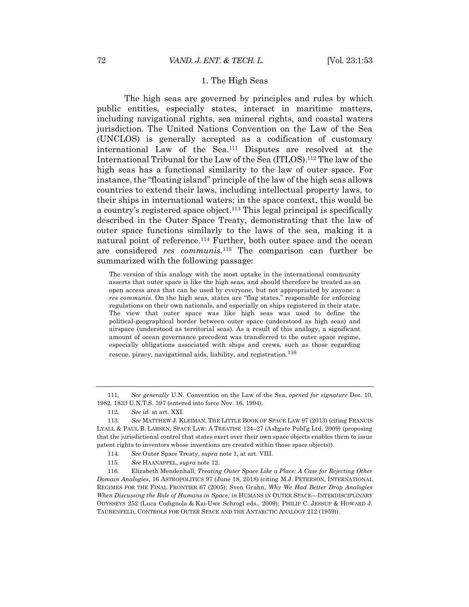#### 1. The High Seas

The high seas are governed by principles and rules by which public entities, especially states, interact in maritime matters, including navigational rights, sea mineral rights, and coastal waters jurisdiction. The United Nations Convention on the Law of the Sea (UNCLOS) is generally accepted as a codification of customary international Law of the Sea.111 Disputes are resolved at the International Tribunal for the Law of the Sea (ITLOS).112 The law of the high seas has a functional similarity to the law of outer space. For instance, the "floating island" principle of the law of the high seas allows countries to extend their laws, including intellectual property laws, to their ships in international waters; in the space context, this would be a country's registered space object.113 This legal principal is specifically described in the Outer Space Treaty, demonstrating that the law of outer space functions similarly to the laws of the sea, making it a natural point of reference.<sup>114</sup> Further, both outer space and the ocean are considered *res communis*.115 The comparison can further be summarized with the following passage:

The version of this analogy with the most uptake in the international community asserts that outer space is like the high seas, and should therefore be treated as an open access area that can be used by everyone, but not appropriated by anyone: a *res communis*. On the high seas, states are "flag states," responsible for enforcing regulations on their own nationals, and especially on ships registered in their state. The view that outer space was like high seas was used to define the political-geographical border between outer space (understood as high seas) and airspace (understood as territorial seas). As a result of this analogy, a significant amount of ocean governance precedent was transferred to the outer space regime, especially obligations associated with ships and crews, such as those regarding rescue, piracy, navigational aids, liability, and registration.<sup>116</sup>

<sup>111</sup>*. See generally* U.N. Convention on the Law of the Sea, *opened for signature* Dec. 10, 1982, 1833 U.N.T.S. 397 (entered into force Nov. 16, 1994).

<sup>112</sup>*. See id.* at art. XXI.

<sup>113</sup>*. See* MATTHEW J. KLEIMAN, THE LITTLE BOOK OF SPACE LAW 97 (2013) (citing FRANCIS LYALL & PAUL B. LARSEN, SPACE LAW: A TREATISE 124–27 (Ashgate Publ'g Ltd. 2009) (proposing that the jurisdictional control that states exert over their own space objects enables them to issue patent rights to inventors whose inventions are created within those space objects)).

<sup>114</sup>*. See* Outer Space Treaty, *supra* note 1, at art. VIII.

<sup>115</sup>*. See* HAANAPPEL, *supra* note 12.

<sup>116</sup>*.* Elizabeth Mendenhall, *Treating Outer Space Like a Place: A Case for Rejecting Other Domain Analogies*, 16 ASTROPOLITICS 97 (June 18, 2018) (citing M.J. PETERSON, INTERNATIONAL REGIMES FOR THE FINAL FRONTIER 67 (2005); Sven Grahn, *Why We Had Better Drop Analogies When Discussing the Role of Humans in Space*, *in* HUMANS IN OUTER SPACE—INTERDISCIPLINARY ODYSSEYS 252 (Luca Codignola & Kai-Uwe Schrogl eds., 2009); PHILIP C. JESSUP & HOWARD J. TAUBENFELD, CONTROLS FOR OUTER SPACE AND THE ANTARCTIC ANALOGY 212 (1959)).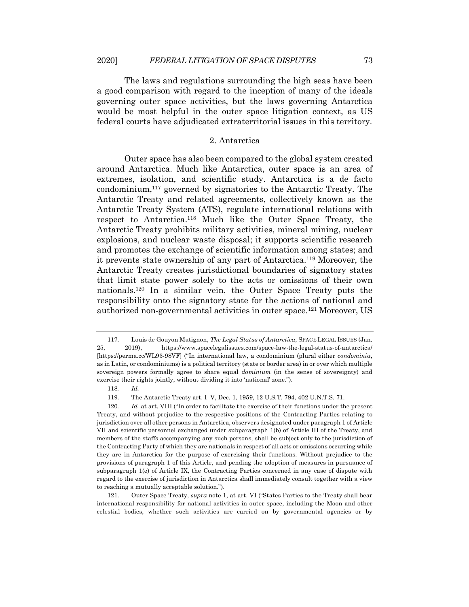The laws and regulations surrounding the high seas have been a good comparison with regard to the inception of many of the ideals governing outer space activities, but the laws governing Antarctica would be most helpful in the outer space litigation context, as US federal courts have adjudicated extraterritorial issues in this territory.

#### 2. Antarctica

Outer space has also been compared to the global system created around Antarctica. Much like Antarctica, outer space is an area of extremes, isolation, and scientific study. Antarctica is a de facto condominium,117 governed by signatories to the Antarctic Treaty. The Antarctic Treaty and related agreements, collectively known as the Antarctic Treaty System (ATS), regulate international relations with respect to Antarctica.118 Much like the Outer Space Treaty, the Antarctic Treaty prohibits military activities, mineral mining, nuclear explosions, and nuclear waste disposal; it supports scientific research and promotes the exchange of scientific information among states; and it prevents state ownership of any part of Antarctica.119 Moreover, the Antarctic Treaty creates jurisdictional boundaries of signatory states that limit state power solely to the acts or omissions of their own nationals.120 In a similar vein, the Outer Space Treaty puts the responsibility onto the signatory state for the actions of national and authorized non-governmental activities in outer space.121 Moreover, US

<sup>117.</sup> Louis de Gouyon Matignon, *The Legal Status of Antarctica*, SPACE LEGAL ISSUES (Jan. 25, 2019), https://www.spacelegalissues.com/space-law-the-legal-status-of-antarctica/ [https://perma.cc/WL93-98VF] ("In international law, a condominium (plural either *condominia*, as in Latin, or condominiums) is a political territory (state or border area) in or over which multiple sovereign powers formally agree to share equal *dominium* (in the sense of sovereignty) and exercise their rights jointly, without dividing it into 'national' zone.").

<sup>118</sup>*. Id.*

<sup>119.</sup> The Antarctic Treaty art. I–V, Dec. 1, 1959, 12 U.S.T. 794, 402 U.N.T.S. 71.

<sup>120.</sup> *Id.* at art. VIII ("In order to facilitate the exercise of their functions under the present Treaty, and without prejudice to the respective positions of the Contracting Parties relating to jurisdiction over all other persons in Antarctica, observers designated under paragraph 1 of Article VII and scientific personnel exchanged under subparagraph 1(b) of Article III of the Treaty, and members of the staffs accompanying any such persons, shall be subject only to the jurisdiction of the Contracting Party of which they are nationals in respect of all acts or omissions occurring while they are in Antarctica for the purpose of exercising their functions. Without prejudice to the provisions of paragraph 1 of this Article, and pending the adoption of measures in pursuance of subparagraph 1(e) of Article IX, the Contracting Parties concerned in any case of dispute with regard to the exercise of jurisdiction in Antarctica shall immediately consult together with a view to reaching a mutually acceptable solution.").

<sup>121.</sup> Outer Space Treaty, *supra* note 1, at art. VI ("States Parties to the Treaty shall bear international responsibility for national activities in outer space, including the Moon and other celestial bodies, whether such activities are carried on by governmental agencies or by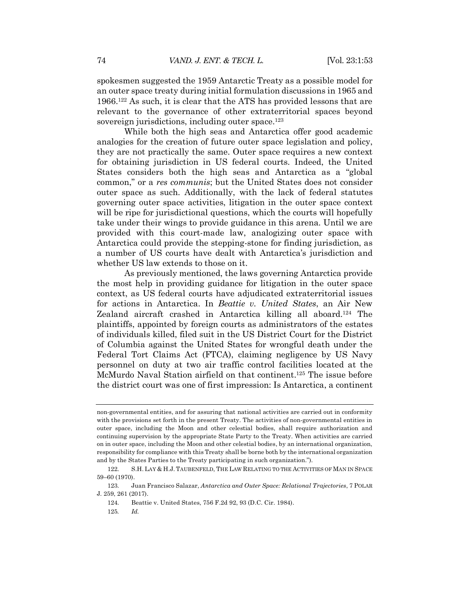spokesmen suggested the 1959 Antarctic Treaty as a possible model for an outer space treaty during initial formulation discussions in 1965 and 1966.122 As such, it is clear that the ATS has provided lessons that are relevant to the governance of other extraterritorial spaces beyond sovereign jurisdictions, including outer space. $123$ 

While both the high seas and Antarctica offer good academic analogies for the creation of future outer space legislation and policy, they are not practically the same. Outer space requires a new context for obtaining jurisdiction in US federal courts. Indeed, the United States considers both the high seas and Antarctica as a "global common," or a *res communis*; but the United States does not consider outer space as such. Additionally, with the lack of federal statutes governing outer space activities, litigation in the outer space context will be ripe for jurisdictional questions, which the courts will hopefully take under their wings to provide guidance in this arena. Until we are provided with this court-made law, analogizing outer space with Antarctica could provide the stepping-stone for finding jurisdiction, as a number of US courts have dealt with Antarctica's jurisdiction and whether US law extends to those on it.

As previously mentioned, the laws governing Antarctica provide the most help in providing guidance for litigation in the outer space context, as US federal courts have adjudicated extraterritorial issues for actions in Antarctica. In *Beattie v. United States*, an Air New Zealand aircraft crashed in Antarctica killing all aboard.124 The plaintiffs, appointed by foreign courts as administrators of the estates of individuals killed, filed suit in the US District Court for the District of Columbia against the United States for wrongful death under the Federal Tort Claims Act (FTCA), claiming negligence by US Navy personnel on duty at two air traffic control facilities located at the McMurdo Naval Station airfield on that continent.125 The issue before the district court was one of first impression: Is Antarctica, a continent

125*. Id.*

non-governmental entities, and for assuring that national activities are carried out in conformity with the provisions set forth in the present Treaty. The activities of non-governmental entities in outer space, including the Moon and other celestial bodies, shall require authorization and continuing supervision by the appropriate State Party to the Treaty. When activities are carried on in outer space, including the Moon and other celestial bodies, by an international organization, responsibility for compliance with this Treaty shall be borne both by the international organization and by the States Parties to the Treaty participating in such organization.").

<sup>122.</sup> S.H. LAY & H.J. TAUBENFELD, THE LAW RELATING TO THE ACTIVITIES OF MAN IN SPACE 59–60 (1970).

<sup>123.</sup> Juan Francisco Salazar, *Antarctica and Outer Space: Relational Trajectories*, 7 POLAR J. 259, 261 (2017).

<sup>124.</sup> Beattie v. United States, 756 F.2d 92, 93 (D.C. Cir. 1984).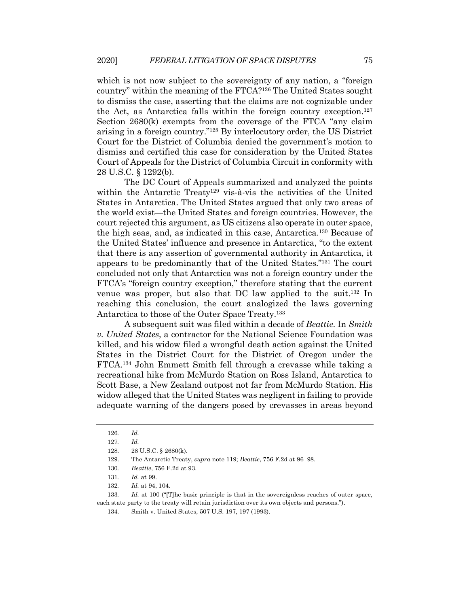which is not now subject to the sovereignty of any nation, a "foreign country" within the meaning of the FTCA?126 The United States sought to dismiss the case, asserting that the claims are not cognizable under the Act, as Antarctica falls within the foreign country exception.127 Section 2680(k) exempts from the coverage of the FTCA "any claim arising in a foreign country."128 By interlocutory order, the US District Court for the District of Columbia denied the government's motion to dismiss and certified this case for consideration by the United States Court of Appeals for the District of Columbia Circuit in conformity with 28 U.S.C. § 1292(b).

The DC Court of Appeals summarized and analyzed the points within the Antarctic Treaty<sup>129</sup> vis-à-vis the activities of the United States in Antarctica. The United States argued that only two areas of the world exist—the United States and foreign countries. However, the court rejected this argument, as US citizens also operate in outer space, the high seas, and, as indicated in this case, Antarctica.130 Because of the United States' influence and presence in Antarctica, "to the extent that there is any assertion of governmental authority in Antarctica, it appears to be predominantly that of the United States."131 The court concluded not only that Antarctica was not a foreign country under the FTCA's "foreign country exception," therefore stating that the current venue was proper, but also that DC law applied to the suit.132 In reaching this conclusion, the court analogized the laws governing Antarctica to those of the Outer Space Treaty.133

A subsequent suit was filed within a decade of *Beattie*. In *Smith v. United States*, a contractor for the National Science Foundation was killed, and his widow filed a wrongful death action against the United States in the District Court for the District of Oregon under the FTCA.134 John Emmett Smith fell through a crevasse while taking a recreational hike from McMurdo Station on Ross Island, Antarctica to Scott Base, a New Zealand outpost not far from McMurdo Station. His widow alleged that the United States was negligent in failing to provide adequate warning of the dangers posed by crevasses in areas beyond

133*. Id.* at 100 ("[T]he basic principle is that in the sovereignless reaches of outer space, each state party to the treaty will retain jurisdiction over its own objects and persons.").

<sup>126</sup>*. Id.*

<sup>127</sup>*. Id.*

<sup>128.</sup> 28 U.S.C. § 2680(k).

<sup>129.</sup> The Antarctic Treaty, *supra* note 119; *Beattie*, 756 F.2d at 96–98.

<sup>130</sup>*. Beattie*, 756 F.2d at 93.

<sup>131</sup>*. Id.* at 99.

<sup>132</sup>*. Id.* at 94, 104.

<sup>134.</sup> Smith v. United States, 507 U.S. 197, 197 (1993).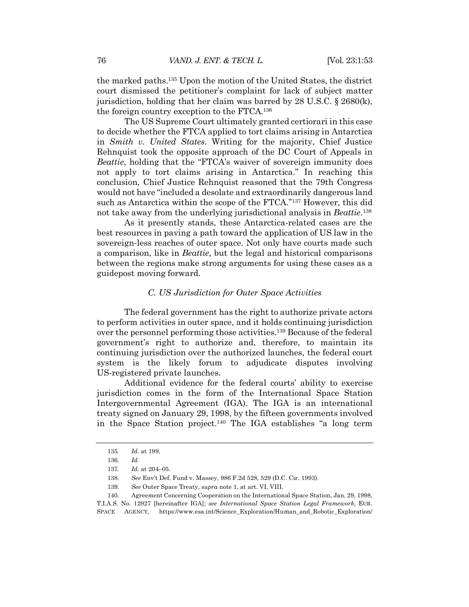the marked paths.135 Upon the motion of the United States, the district court dismissed the petitioner's complaint for lack of subject matter jurisdiction, holding that her claim was barred by 28 U.S.C. § 2680(k), the foreign country exception to the FTCA.136

The US Supreme Court ultimately granted certiorari in this case to decide whether the FTCA applied to tort claims arising in Antarctica in *Smith v. United States*. Writing for the majority, Chief Justice Rehnquist took the opposite approach of the DC Court of Appeals in *Beattie*, holding that the "FTCA's waiver of sovereign immunity does not apply to tort claims arising in Antarctica." In reaching this conclusion, Chief Justice Rehnquist reasoned that the 79th Congress would not have "included a desolate and extraordinarily dangerous land such as Antarctica within the scope of the FTCA."137 However, this did not take away from the underlying jurisdictional analysis in *Beattie*.138

As it presently stands, these Antarctica-related cases are the best resources in paving a path toward the application of US law in the sovereign-less reaches of outer space. Not only have courts made such a comparison, like in *Beattie*, but the legal and historical comparisons between the regions make strong arguments for using these cases as a guidepost moving forward.

## *C. US Jurisdiction for Outer Space Activities*

The federal government has the right to authorize private actors to perform activities in outer space, and it holds continuing jurisdiction over the personnel performing those activities.139 Because of the federal government's right to authorize and, therefore, to maintain its continuing jurisdiction over the authorized launches, the federal court system is the likely forum to adjudicate disputes involving US-registered private launches.

Additional evidence for the federal courts' ability to exercise jurisdiction comes in the form of the International Space Station Intergovernmental Agreement (IGA). The IGA is an international treaty signed on January 29, 1998, by the fifteen governments involved in the Space Station project.140 The IGA establishes "a long term

<sup>135</sup>*. Id.* at 199.

<sup>136</sup>*. Id.*

<sup>137</sup>*. Id.* at 204–05.

<sup>138</sup>*. See* Env't Def. Fund v. Massey, 986 F.2d 528, 529 (D.C. Cir. 1993).

<sup>139</sup>*. See* Outer Space Treaty, *supra* note 1, at art. VI, VIII.

<sup>140.</sup> Agreement Concerning Cooperation on the International Space Station, Jan. 29, 1998, T.I.A.S. No. 12927 [hereinafter IGA]; *see International Space Station Legal Framework*, EUR. SPACE AGENCY, https://www.esa.int/Science\_Exploration/Human\_and\_Robotic\_Exploration/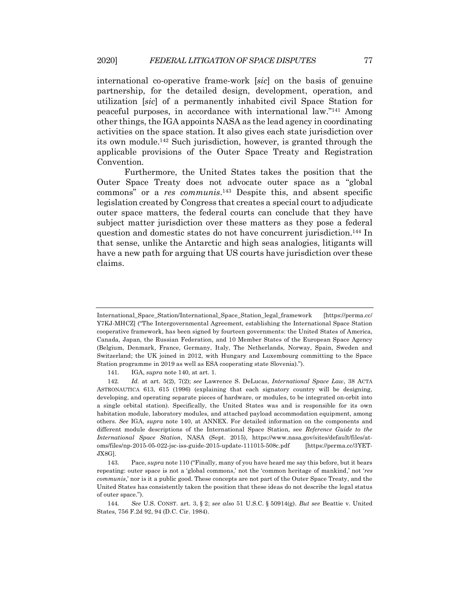international co-operative frame-work [*sic*] on the basis of genuine partnership, for the detailed design, development, operation, and utilization [*sic*] of a permanently inhabited civil Space Station for peaceful purposes, in accordance with international law."141 Among other things, the IGA appoints NASA as the lead agency in coordinating activities on the space station. It also gives each state jurisdiction over its own module.142 Such jurisdiction, however, is granted through the applicable provisions of the Outer Space Treaty and Registration Convention.

Furthermore, the United States takes the position that the Outer Space Treaty does not advocate outer space as a "global commons" or a *res communis*.143 Despite this, and absent specific legislation created by Congress that creates a special court to adjudicate outer space matters, the federal courts can conclude that they have subject matter jurisdiction over these matters as they pose a federal question and domestic states do not have concurrent jurisdiction.144 In that sense, unlike the Antarctic and high seas analogies, litigants will have a new path for arguing that US courts have jurisdiction over these claims.

International\_Space\_Station/International\_Space\_Station\_legal\_framework [https://perma.cc/ Y7KJ-MHCZ] ("The Intergovernmental Agreement, establishing the International Space Station cooperative framework, has been signed by fourteen governments: the United States of America, Canada, Japan, the Russian Federation, and 10 Member States of the European Space Agency (Belgium, Denmark, France, Germany, Italy, The Netherlands, Norway, Spain, Sweden and Switzerland; the UK joined in 2012, with Hungary and Luxembourg committing to the Space Station programme in 2019 as well as ESA cooperating state Slovenia).").

<sup>141.</sup> IGA, *supra* note 140, at art. 1.

<sup>142</sup>*. Id.* at art. 5(2), 7(2); *see* Lawrence S. DeLucas, *International Space Law*, 38 ACTA ASTRONAUTICA 613, 615 (1996) (explaining that each signatory country will be designing, developing, and operating separate pieces of hardware, or modules, to be integrated on-orbit into a single orbital station). Specifically, the United States was and is responsible for its own habitation module, laboratory modules, and attached payload accommodation equipment, among others. *See* IGA, *supra* note 140, at ANNEX. For detailed information on the components and different module descriptions of the International Space Station, see *Reference Guide to the International Space Station*, NASA (Sept. 2015), https://www.nasa.gov/sites/default/files/atoms/files/np-2015-05-022-jsc-iss-guide-2015-update-111015-508c.pdf [https://perma.cc/3YET-JX8G].

<sup>143.</sup> Pace, *supra* note 110 ("Finally, many of you have heard me say this before, but it bears repeating: outer space is not a 'global commons,' not the 'common heritage of mankind,' not '*res communis*,' nor is it a public good. These concepts are not part of the Outer Space Treaty, and the United States has consistently taken the position that these ideas do not describe the legal status of outer space.").

<sup>144</sup>*. See* U.S. CONST. art. 3, § 2; *see also* 51 U.S.C. § 50914(g). *But see* Beattie v. United States, 756 F.2d 92, 94 (D.C. Cir. 1984).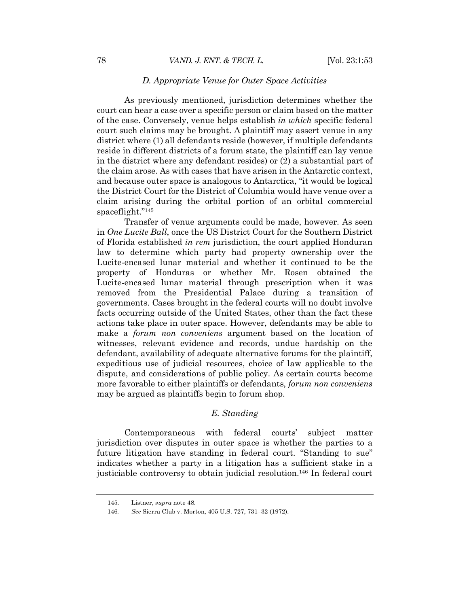## *D. Appropriate Venue for Outer Space Activities*

As previously mentioned, jurisdiction determines whether the court can hear a case over a specific person or claim based on the matter of the case. Conversely, venue helps establish *in which* specific federal court such claims may be brought. A plaintiff may assert venue in any district where (1) all defendants reside (however, if multiple defendants reside in different districts of a forum state, the plaintiff can lay venue in the district where any defendant resides) or (2) a substantial part of the claim arose. As with cases that have arisen in the Antarctic context, and because outer space is analogous to Antarctica, "it would be logical the District Court for the District of Columbia would have venue over a claim arising during the orbital portion of an orbital commercial spaceflight."145

Transfer of venue arguments could be made, however. As seen in *One Lucite Ball*, once the US District Court for the Southern District of Florida established *in rem* jurisdiction, the court applied Honduran law to determine which party had property ownership over the Lucite-encased lunar material and whether it continued to be the property of Honduras or whether Mr. Rosen obtained the Lucite-encased lunar material through prescription when it was removed from the Presidential Palace during a transition of governments. Cases brought in the federal courts will no doubt involve facts occurring outside of the United States, other than the fact these actions take place in outer space. However, defendants may be able to make a *forum non conveniens* argument based on the location of witnesses, relevant evidence and records, undue hardship on the defendant, availability of adequate alternative forums for the plaintiff, expeditious use of judicial resources, choice of law applicable to the dispute, and considerations of public policy. As certain courts become more favorable to either plaintiffs or defendants, *forum non conveniens* may be argued as plaintiffs begin to forum shop.

## *E. Standing*

Contemporaneous with federal courts' subject matter jurisdiction over disputes in outer space is whether the parties to a future litigation have standing in federal court. "Standing to sue" indicates whether a party in a litigation has a sufficient stake in a justiciable controversy to obtain judicial resolution.146 In federal court

<sup>145.</sup> Listner, *supra* note 48.

<sup>146</sup>*. See* Sierra Club v. Morton, 405 U.S. 727, 731–32 (1972).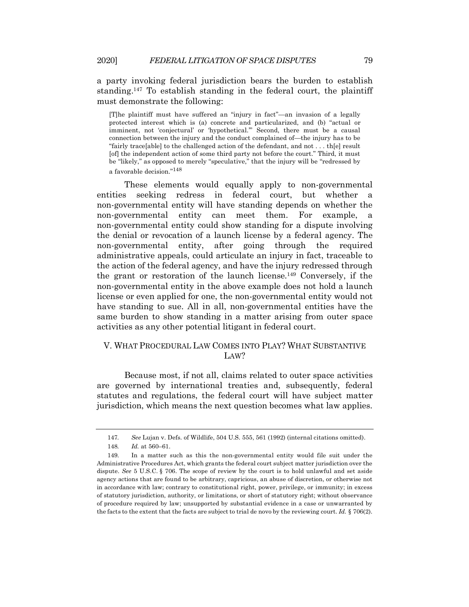a party invoking federal jurisdiction bears the burden to establish standing.147 To establish standing in the federal court, the plaintiff must demonstrate the following:

[T]he plaintiff must have suffered an "injury in fact"—an invasion of a legally protected interest which is (a) concrete and particularized, and (b) "actual or imminent, not 'conjectural' or 'hypothetical.'" Second, there must be a causal connection between the injury and the conduct complained of—the injury has to be "fairly trace[able] to the challenged action of the defendant, and not . . . th[e] result [of] the independent action of some third party not before the court." Third, it must be "likely," as opposed to merely "speculative," that the injury will be "redressed by a favorable decision."<sup>148</sup>

These elements would equally apply to non-governmental entities seeking redress in federal court, but whether a non-governmental entity will have standing depends on whether the non-governmental entity can meet them. For example, a non-governmental entity could show standing for a dispute involving the denial or revocation of a launch license by a federal agency. The non-governmental entity, after going through the required administrative appeals, could articulate an injury in fact, traceable to the action of the federal agency, and have the injury redressed through the grant or restoration of the launch license.149 Conversely, if the non-governmental entity in the above example does not hold a launch license or even applied for one, the non-governmental entity would not have standing to sue. All in all, non-governmental entities have the same burden to show standing in a matter arising from outer space activities as any other potential litigant in federal court.

## V. WHAT PROCEDURAL LAW COMES INTO PLAY? WHAT SUBSTANTIVE L<sub>AW</sub>?

Because most, if not all, claims related to outer space activities are governed by international treaties and, subsequently, federal statutes and regulations, the federal court will have subject matter jurisdiction, which means the next question becomes what law applies.

<sup>147</sup>*. See* Lujan v. Defs. of Wildlife, 504 U.S. 555, 561 (1992) (internal citations omitted).

<sup>148</sup>*. Id.* at 560–61.

<sup>149.</sup> In a matter such as this the non-governmental entity would file suit under the Administrative Procedures Act, which grants the federal court subject matter jurisdiction over the dispute. *See* 5 U.S.C. § 706. The scope of review by the court is to hold unlawful and set aside agency actions that are found to be arbitrary, capricious, an abuse of discretion, or otherwise not in accordance with law; contrary to constitutional right, power, privilege, or immunity; in excess of statutory jurisdiction, authority, or limitations, or short of statutory right; without observance of procedure required by law; unsupported by substantial evidence in a case or unwarranted by the facts to the extent that the facts are subject to trial de novo by the reviewing court. *Id.* § 706(2).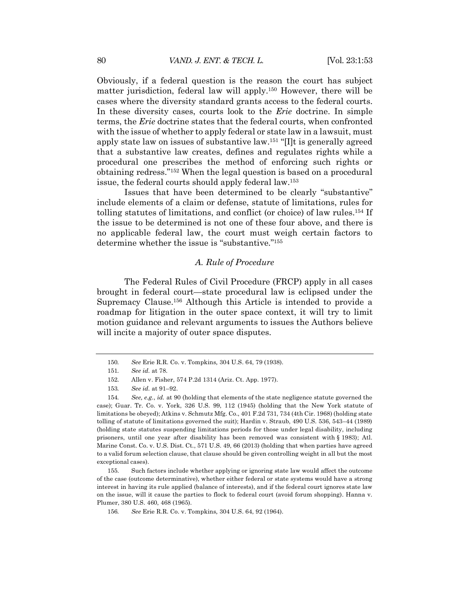Obviously, if a federal question is the reason the court has subject matter jurisdiction, federal law will apply.150 However, there will be cases where the diversity standard grants access to the federal courts. In these diversity cases, courts look to the *Erie* doctrine. In simple terms, the *Erie* doctrine states that the federal courts, when confronted with the issue of whether to apply federal or state law in a lawsuit, must apply state law on issues of substantive law.151 "[I]t is generally agreed that a substantive law creates, defines and regulates rights while a procedural one prescribes the method of enforcing such rights or obtaining redress."152 When the legal question is based on a procedural issue, the federal courts should apply federal law.153

Issues that have been determined to be clearly "substantive" include elements of a claim or defense, statute of limitations, rules for tolling statutes of limitations, and conflict (or choice) of law rules.154 If the issue to be determined is not one of these four above, and there is no applicable federal law, the court must weigh certain factors to determine whether the issue is "substantive."155

## *A. Rule of Procedure*

The Federal Rules of Civil Procedure (FRCP) apply in all cases brought in federal court—state procedural law is eclipsed under the Supremacy Clause.156 Although this Article is intended to provide a roadmap for litigation in the outer space context, it will try to limit motion guidance and relevant arguments to issues the Authors believe will incite a majority of outer space disputes.

<sup>150</sup>*. See* Erie R.R. Co. v. Tompkins*,* 304 U.S. 64, 79 (1938).

<sup>151</sup>*. See id.* at 78.

<sup>152.</sup> Allen v. Fisher, 574 P.2d 1314 (Ariz. Ct. App. 1977).

<sup>153</sup>*. See id.* at 91–92.

<sup>154</sup>*. See, e.g.*, *id.* at 90 (holding that elements of the state negligence statute governed the case); Guar. Tr. Co. v. York, 326 U.S. 99, 112 (1945) (holding that the New York statute of limitations be obeyed); Atkins v. Schmutz Mfg. Co., 401 F.2d 731, 734 (4th Cir. 1968) (holding state tolling of statute of limitations governed the suit); Hardin v. Straub, 490 U.S. 536, 543–44 (1989) (holding state statutes suspending limitations periods for those under legal disability, including prisoners, until one year after disability has been removed was consistent with § 1983); Atl. Marine Const. Co. v. U.S. Dist. Ct., 571 U.S. 49, 66 (2013) (holding that when parties have agreed to a valid forum selection clause, that clause should be given controlling weight in all but the most exceptional cases).

<sup>155.</sup> Such factors include whether applying or ignoring state law would affect the outcome of the case (outcome determinative), whether either federal or state systems would have a strong interest in having its rule applied (balance of interests), and if the federal court ignores state law on the issue, will it cause the parties to flock to federal court (avoid forum shopping). Hanna v. Plumer, 380 U.S. 460, 468 (1965).

<sup>156</sup>*. See* Erie R.R. Co. v. Tompkins*,* 304 U.S. 64, 92 (1964).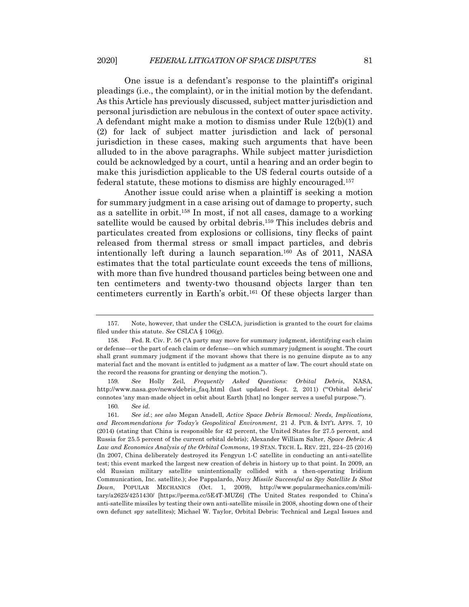One issue is a defendant's response to the plaintiff's original pleadings (i.e., the complaint), or in the initial motion by the defendant. As this Article has previously discussed, subject matter jurisdiction and personal jurisdiction are nebulous in the context of outer space activity. A defendant might make a motion to dismiss under Rule 12(b)(1) and (2) for lack of subject matter jurisdiction and lack of personal jurisdiction in these cases, making such arguments that have been alluded to in the above paragraphs. While subject matter jurisdiction could be acknowledged by a court, until a hearing and an order begin to make this jurisdiction applicable to the US federal courts outside of a federal statute, these motions to dismiss are highly encouraged.157

Another issue could arise when a plaintiff is seeking a motion for summary judgment in a case arising out of damage to property, such as a satellite in orbit.158 In most, if not all cases, damage to a working satellite would be caused by orbital debris.159 This includes debris and particulates created from explosions or collisions, tiny flecks of paint released from thermal stress or small impact particles, and debris intentionally left during a launch separation.160 As of 2011, NASA estimates that the total particulate count exceeds the tens of millions, with more than five hundred thousand particles being between one and ten centimeters and twenty-two thousand objects larger than ten centimeters currently in Earth's orbit.161 Of these objects larger than

159*. See* Holly Zeil, *Frequently Asked Questions: Orbital Debris*, NASA, http://www.nasa.gov/news/debris\_faq.html (last updated Sept. 2, 2011) ("'Orbital debris' connotes 'any man-made object in orbit about Earth [that] no longer serves a useful purpose.'").

160*. See id.*

<sup>157.</sup> Note, however, that under the CSLCA, jurisdiction is granted to the court for claims filed under this statute. *See* CSLCA § 106(g).

<sup>158.</sup> Fed. R. Civ. P. 56 ("A party may move for summary judgment, identifying each claim or defense—or the part of each claim or defense—on which summary judgment is sought. The court shall grant summary judgment if the movant shows that there is no genuine dispute as to any material fact and the movant is entitled to judgment as a matter of law. The court should state on the record the reasons for granting or denying the motion.").

<sup>161</sup>*. See id.*; *see also* Megan Ansdell, *Active Space Debris Removal: Needs, Implications, and Recommendations for Today's Geopolitical Environment*, 21 J. PUB. & INT'L AFFS. 7, 10 (2014) (stating that China is responsible for 42 percent, the United States for 27.5 percent, and Russia for 25.5 percent of the current orbital debris); Alexander William Salter, *Space Debris: A Law and Economics Analysis of the Orbital Commons*, 19 STAN. TECH. L. REV. 221, 224–25 (2016) (In 2007, China deliberately destroyed its Fengyun 1-C satellite in conducting an anti-satellite test; this event marked the largest new creation of debris in history up to that point. In 2009, an old Russian military satellite unintentionally collided with a then-operating Iridium Communication, Inc. satellite.); Joe Pappalardo, *Navy Missile Successful as Spy Satellite Is Shot Down*, POPULAR MECHANICS (Oct. 1, 2009), http://www.popularmechanics.com/military/a2625/4251430/ [https://perma.cc/5E4T-MUZ6] (The United States responded to China's anti-satellite missiles by testing their own anti-satellite missile in 2008, shooting down one of their own defunct spy satellites); Michael W. Taylor, Orbital Debris: Technical and Legal Issues and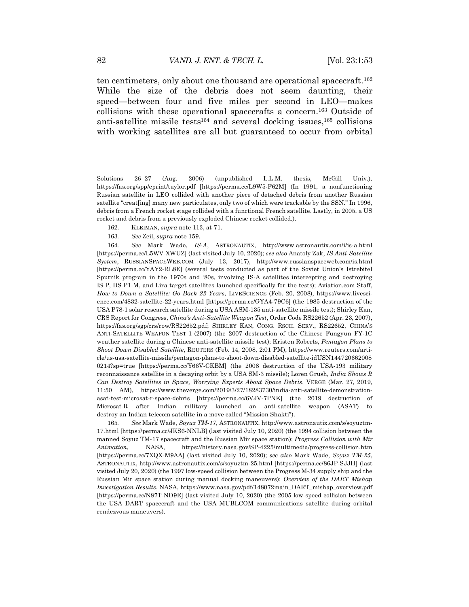ten centimeters, only about one thousand are operational spacecraft.162 While the size of the debris does not seem daunting, their speed—between four and five miles per second in LEO—makes collisions with these operational spacecrafts a concern.163 Outside of anti-satellite missile tests $164$  and several docking issues, $165$  collisions with working satellites are all but guaranteed to occur from orbital

- 162. KLEIMAN, *supra* note 113, at 71.
- 163*. See* Zeil, *supra* note 159.

164*. See* Mark Wade, *IS-A*, ASTRONAUTIX, http://www.astronautix.com/i/is-a.html [https://perma.cc/L5WV-XWUZ] (last visited July 10, 2020); *see also* Anatoly Zak, *IS Anti-Satellite System*, RUSSIANSPACEWEB.COM (July 13, 2017), http://www.russianspaceweb.com/is.html [https://perma.cc/YAY2-RL8E] (several tests conducted as part of the Soviet Union's Istrebitel Sputnik program in the 1970s and '80s, involving IS-A satellites intercepting and destroying IS-P, DS-P1-M, and Lira target satellites launched specifically for the tests); Aviation.com Staff, *How to Down a Satellite: Go Back 22 Years*, LIVESCIENCE (Feb. 20, 2008), https://www.livescience.com/4832-satellite-22-years.html [https://perma.cc/GYA4-79C6] (the 1985 destruction of the USA P78-1 solar research satellite during a USA ASM-135 anti-satellite missile test); Shirley Kan, CRS Report for Congress, *China's Anti-Satellite Weapon Test*, Order Code RS22652 (Apr. 23, 2007), https://fas.org/sgp/crs/row/RS22652.pdf; SHIRLEY KAN, CONG. RSCH. SERV., RS22652, CHINA'S ANTI-SATELLITE WEAPON TEST 1 (2007) (the 2007 destruction of the Chinese Fungyun FY-1C weather satellite during a Chinese anti-satellite missile test); Kristen Roberts, *Pentagon Plans to Shoot Down Disabled Satellite*, REUTERS (Feb. 14, 2008, 2:01 PM), https://www.reuters.com/article/us-usa-satellite-missile/pentagon-plans-to-shoot-down-disabled-satellite-idUSN144720662008 0214?sp=true [https://perma.cc/Y66V-CKBM] (the 2008 destruction of the USA-193 military reconnaissance satellite in a decaying orbit by a USA SM-3 missile); Loren Grush, *India Shows It Can Destroy Satellites in Space, Worrying Experts About Space Debris*, VERGE (Mar. 27, 2019, 11:50 AM), https://www.theverge.com/2019/3/27/18283730/india-anti-satellite-demonstrationasat-test-microsat-r-space-debris [https://perma.cc/6VJV-7PNK] (the 2019 destruction of Microsat-R after Indian military launched an anti-satellite weapon (ASAT) to destroy an Indian telecom satellite in a move called "Mission Shakti").

165*. See* Mark Wade, *Soyuz TM-17*, ASTRONAUTIX, http://www.astronautix.com/s/soyuztm-17.html [https://perma.cc/JKS6-NNLB] (last visited July 10, 2020) (the 1994 collision between the manned Soyuz TM-17 spacecraft and the Russian Mir space station); *Progress Collision with Mir Animation*, NASA, https://history.nasa.gov/SP-4225/multimedia/progress-collision.htm [https://perma.cc/7XQX-M9AA] (last visited July 10, 2020); *see also* Mark Wade, *Soyuz TM-25*, ASTRONAUTIX, http://www.astronautix.com/s/soyuztm-25.html [https://perma.cc/86JP-SJJH] (last visited July 20, 2020) (the 1997 low-speed collision between the Progress M-34 supply ship and the Russian Mir space station during manual docking maneuvers); *Overview of the DART Mishap Investigation Results*, NASA, https://www.nasa.gov/pdf/148072main\_DART\_mishap\_overview.pdf [https://perma.cc/N87T-ND9E] (last visited July 10, 2020) (the 2005 low-speed collision between the USA DART spacecraft and the USA MUBLCOM communications satellite during orbital rendezvous maneuvers).

Solutions 26–27 (Aug. 2006) (unpublished L.L.M. thesis, McGill Univ.), https://fas.org/spp/eprint/taylor.pdf [https://perma.cc/L9W5-F62M] (In 1991, a nonfunctioning Russian satellite in LEO collided with another piece of detached debris from another Russian satellite "creat[ing] many new particulates, only two of which were trackable by the SSN." In 1996, debris from a French rocket stage collided with a functional French satellite. Lastly, in 2005, a US rocket and debris from a previously exploded Chinese rocket collided.).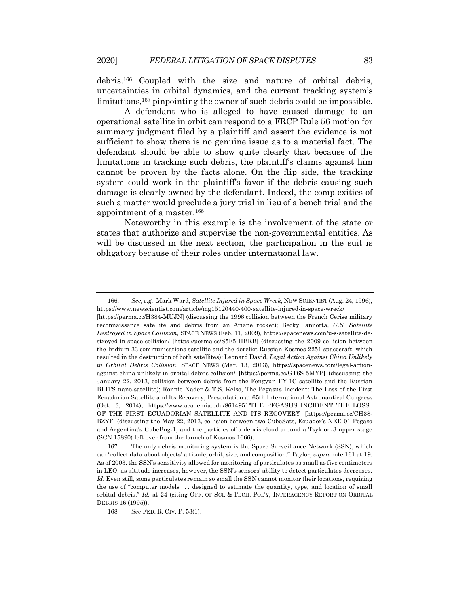debris.166 Coupled with the size and nature of orbital debris, uncertainties in orbital dynamics, and the current tracking system's limitations,<sup>167</sup> pinpointing the owner of such debris could be impossible.

A defendant who is alleged to have caused damage to an operational satellite in orbit can respond to a FRCP Rule 56 motion for summary judgment filed by a plaintiff and assert the evidence is not sufficient to show there is no genuine issue as to a material fact. The defendant should be able to show quite clearly that because of the limitations in tracking such debris, the plaintiff's claims against him cannot be proven by the facts alone. On the flip side, the tracking system could work in the plaintiff's favor if the debris causing such damage is clearly owned by the defendant. Indeed, the complexities of such a matter would preclude a jury trial in lieu of a bench trial and the appointment of a master.168

Noteworthy in this example is the involvement of the state or states that authorize and supervise the non-governmental entities. As will be discussed in the next section, the participation in the suit is obligatory because of their roles under international law.

<sup>166.</sup> *See, e.g.*, Mark Ward, *Satellite Injured in Space Wreck*, NEW SCIENTIST (Aug. 24, 1996), https://www.newscientist.com/article/mg15120440-400-satellite-injured-in-space-wreck/

<sup>[</sup>https://perma.cc/H384-MUJN] (discussing the 1996 collision between the French Cerise military reconnaissance satellite and debris from an Ariane rocket); Becky Iannotta, *U.S. Satellite Destroyed in Space Collision*, SPACE NEWS (Feb. 11, 2009), https://spacenews.com/u-s-satellite-destroyed-in-space-collision/ [https://perma.cc/S5F5-HBRB] (discussing the 2009 collision between the Iridium 33 communications satellite and the derelict Russian Kosmos 2251 spacecraft, which resulted in the destruction of both satellites); Leonard David, *Legal Action Against China Unlikely in Orbital Debris Collision*, SPACE NEWS (Mar. 13, 2013), https://spacenews.com/legal-actionagainst-china-unlikely-in-orbital-debris-collision/ [https://perma.cc/GT6S-5MYP] (discussing the January 22, 2013, collision between debris from the Fengyun FY-1C satellite and the Russian BLITS nano-satellite); Ronnie Nader & T.S. Kelso, The Pegasus Incident: The Loss of the First Ecuadorian Satellite and Its Recovery, Presentation at 65th International Astronautical Congress (Oct. 3, 2014), https://www.academia.edu/8614951/THE\_PEGASUS\_INCIDENT\_THE\_LOSS\_ OF\_THE\_FIRST\_ECUADORIAN\_SATELLITE\_AND\_ITS\_RECOVERY [https://perma.cc/CH38- BZYF] (discussing the May 22, 2013, collision between two CubeSats, Ecuador's NEE-01 Pegaso and Argentina's CubeBug-1, and the particles of a debris cloud around a Tsyklon-3 upper stage (SCN 15890) left over from the launch of Kosmos 1666).

<sup>167.</sup> The only debris monitoring system is the Space Surveillance Network (SSN), which can "collect data about objects' altitude, orbit, size, and composition." Taylor, *supra* note 161 at 19. As of 2003, the SSN's sensitivity allowed for monitoring of particulates as small as five centimeters in LEO; as altitude increases, however, the SSN's sensors' ability to detect particulates decreases. Id. Even still, some particulates remain so small the SSN cannot monitor their locations, requiring the use of "computer models . . . designed to estimate the quantity, type, and location of small orbital debris." *Id.* at 24 (citing OFF. OF SCI. & TECH. POL'Y, INTERAGENCY REPORT ON ORBITAL DEBRIS 16 (1995)).

<sup>168</sup>*. See* FED. R. CIV. P. 53(1).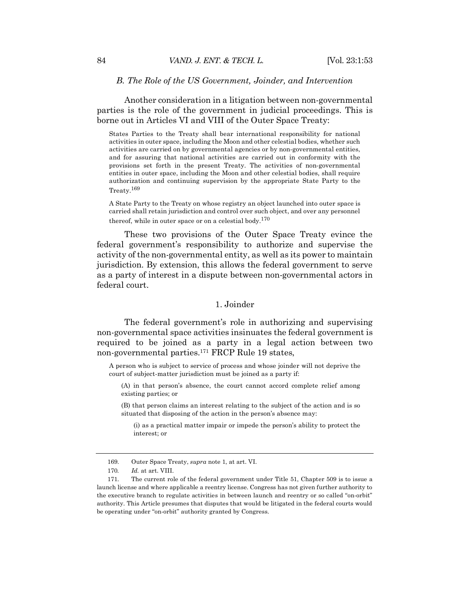#### *B. The Role of the US Government, Joinder, and Intervention*

Another consideration in a litigation between non-governmental parties is the role of the government in judicial proceedings. This is borne out in Articles VI and VIII of the Outer Space Treaty:

States Parties to the Treaty shall bear international responsibility for national activities in outer space, including the Moon and other celestial bodies, whether such activities are carried on by governmental agencies or by non-governmental entities, and for assuring that national activities are carried out in conformity with the provisions set forth in the present Treaty. The activities of non-governmental entities in outer space, including the Moon and other celestial bodies, shall require authorization and continuing supervision by the appropriate State Party to the Treaty.169

A State Party to the Treaty on whose registry an object launched into outer space is carried shall retain jurisdiction and control over such object, and over any personnel thereof, while in outer space or on a celestial body.<sup>170</sup>

These two provisions of the Outer Space Treaty evince the federal government's responsibility to authorize and supervise the activity of the non-governmental entity, as well as its power to maintain jurisdiction. By extension, this allows the federal government to serve as a party of interest in a dispute between non-governmental actors in federal court.

## 1. Joinder

The federal government's role in authorizing and supervising non-governmental space activities insinuates the federal government is required to be joined as a party in a legal action between two non-governmental parties.171 FRCP Rule 19 states,

A person who is subject to service of process and whose joinder will not deprive the court of subject-matter jurisdiction must be joined as a party if:

(A) in that person's absence, the court cannot accord complete relief among existing parties; or

(B) that person claims an interest relating to the subject of the action and is so situated that disposing of the action in the person's absence may:

(i) as a practical matter impair or impede the person's ability to protect the interest; or

<sup>169.</sup> Outer Space Treaty, *supra* note 1, at art. VI.

<sup>170</sup>*. Id.* at art. VIII.

<sup>171.</sup> The current role of the federal government under Title 51, Chapter 509 is to issue a launch license and where applicable a reentry license. Congress has not given further authority to the executive branch to regulate activities in between launch and reentry or so called "on-orbit" authority. This Article presumes that disputes that would be litigated in the federal courts would be operating under "on-orbit" authority granted by Congress.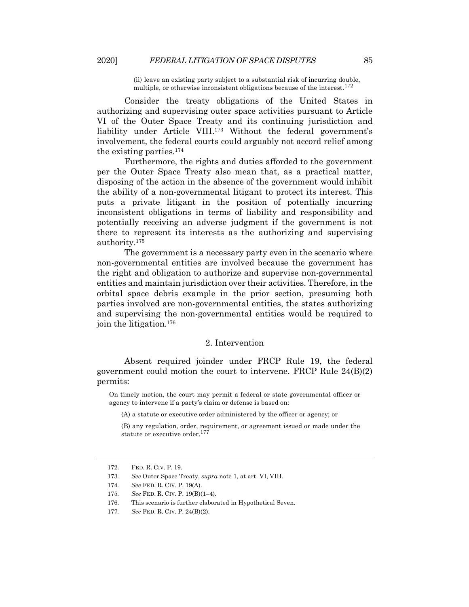(ii) leave an existing party subject to a substantial risk of incurring double, multiple, or otherwise inconsistent obligations because of the interest.<sup>172</sup>

Consider the treaty obligations of the United States in authorizing and supervising outer space activities pursuant to Article VI of the Outer Space Treaty and its continuing jurisdiction and liability under Article VIII.<sup>173</sup> Without the federal government's involvement, the federal courts could arguably not accord relief among the existing parties.174

Furthermore, the rights and duties afforded to the government per the Outer Space Treaty also mean that, as a practical matter, disposing of the action in the absence of the government would inhibit the ability of a non-governmental litigant to protect its interest. This puts a private litigant in the position of potentially incurring inconsistent obligations in terms of liability and responsibility and potentially receiving an adverse judgment if the government is not there to represent its interests as the authorizing and supervising authority.175

The government is a necessary party even in the scenario where non-governmental entities are involved because the government has the right and obligation to authorize and supervise non-governmental entities and maintain jurisdiction over their activities. Therefore, in the orbital space debris example in the prior section, presuming both parties involved are non-governmental entities, the states authorizing and supervising the non-governmental entities would be required to join the litigation.176

## 2. Intervention

Absent required joinder under FRCP Rule 19, the federal government could motion the court to intervene. FRCP Rule 24(B)(2) permits:

On timely motion, the court may permit a federal or state governmental officer or agency to intervene if a party's claim or defense is based on:

(A) a statute or executive order administered by the officer or agency; or

(B) any regulation, order, requirement, or agreement issued or made under the statute or executive order.<sup>177</sup>

<sup>172.</sup> FED. R. CIV. P. 19.

<sup>173</sup>*. See* Outer Space Treaty, *supra* note 1, at art. VI, VIII.

<sup>174</sup>*. See* FED. R. CIV. P. 19(A).

<sup>175</sup>*. See* FED. R. CIV. P. 19(B)(1–4).

<sup>176.</sup> This scenario is further elaborated in Hypothetical Seven.

<sup>177</sup>*. See* FED. R. CIV. P. 24(B)(2).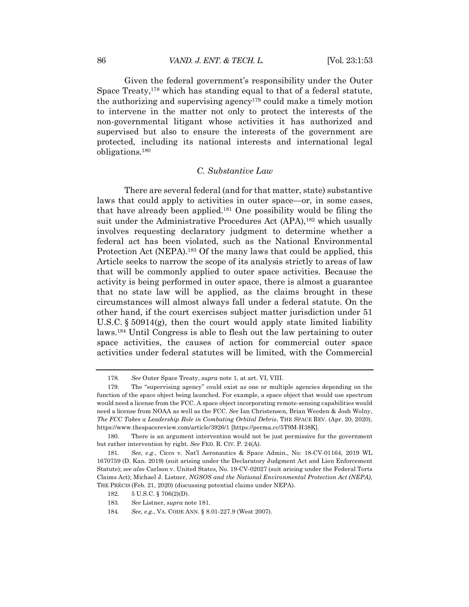Given the federal government's responsibility under the Outer Space Treaty,178 which has standing equal to that of a federal statute, the authorizing and supervising agency179 could make a timely motion to intervene in the matter not only to protect the interests of the non-governmental litigant whose activities it has authorized and supervised but also to ensure the interests of the government are protected, including its national interests and international legal obligations.180

## *C. Substantive Law*

There are several federal (and for that matter, state) substantive laws that could apply to activities in outer space—or, in some cases, that have already been applied.181 One possibility would be filing the suit under the Administrative Procedures Act (APA),<sup>182</sup> which usually involves requesting declaratory judgment to determine whether a federal act has been violated, such as the National Environmental Protection Act (NEPA).<sup>183</sup> Of the many laws that could be applied, this Article seeks to narrow the scope of its analysis strictly to areas of law that will be commonly applied to outer space activities. Because the activity is being performed in outer space, there is almost a guarantee that no state law will be applied, as the claims brought in these circumstances will almost always fall under a federal statute. On the other hand, if the court exercises subject matter jurisdiction under 51 U.S.C.  $\S 50914(g)$ , then the court would apply state limited liability laws.184 Until Congress is able to flesh out the law pertaining to outer space activities, the causes of action for commercial outer space activities under federal statutes will be limited, with the Commercial

<sup>178</sup>*. See* Outer Space Treaty, *supra* note 1, at art. VI, VIII.

<sup>179.</sup> The "supervising agency" could exist as one or multiple agencies depending on the function of the space object being launched. For example, a space object that would use spectrum would need a license from the FCC. A space object incorporating remote-sensing capabilities would need a license from NOAA as well as the FCC. *See* Ian Christensen, Brian Weeden & Josh Wolny, *The FCC Takes a Leadership Role in Combating Orbital Debris*, THE SPACE REV. (Apr. 20, 2020), https://www.thespacereview.com/article/3926/1 [https://perma.cc/5T9M-H38K].

<sup>180.</sup> There is an argument intervention would not be just permissive for the government but rather intervention by right. *See* FED. R. CIV. P. 24(A).

<sup>181</sup>*. See, e.g.*, Cicco v. Nat'l Aeronautics & Space Admin., No: 18-CV-01164, 2019 WL 1670759 (D. Kan. 2019) (suit arising under the Declaratory Judgment Act and Lien Enforcement Statute); *see also* Carlson v. United States, No. 19-CV-02027 (suit arising under the Federal Torts Claims Act); Michael J. Listner, *NGSOS and the National Environmental Protection Act (NEPA)*, THE PRÉCIS (Feb. 21, 2020) (discussing potential claims under NEPA).

<sup>182.</sup> 5 U.S.C. § 706(2)(D).

<sup>183</sup>*. See* Listner, *supra* note 181.

<sup>184</sup>*. See, e.g.*, VA. CODE ANN. § 8.01-227.9 (West 2007).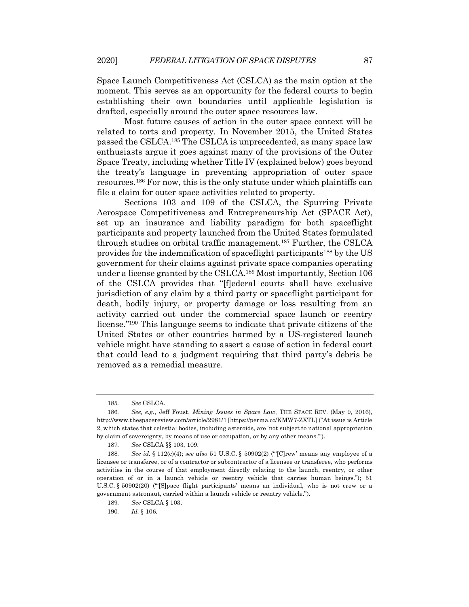Space Launch Competitiveness Act (CSLCA) as the main option at the moment. This serves as an opportunity for the federal courts to begin establishing their own boundaries until applicable legislation is drafted, especially around the outer space resources law.

Most future causes of action in the outer space context will be related to torts and property. In November 2015, the United States passed the CSLCA.185 The CSLCA is unprecedented, as many space law enthusiasts argue it goes against many of the provisions of the Outer Space Treaty, including whether Title IV (explained below) goes beyond the treaty's language in preventing appropriation of outer space resources.186 For now, this is the only statute under which plaintiffs can file a claim for outer space activities related to property.

Sections 103 and 109 of the CSLCA, the Spurring Private Aerospace Competitiveness and Entrepreneurship Act (SPACE Act), set up an insurance and liability paradigm for both spaceflight participants and property launched from the United States formulated through studies on orbital traffic management.187 Further, the CSLCA provides for the indemnification of spaceflight participants188 by the US government for their claims against private space companies operating under a license granted by the CSLCA.189 Most importantly, Section 106 of the CSLCA provides that "[f]ederal courts shall have exclusive jurisdiction of any claim by a third party or spaceflight participant for death, bodily injury, or property damage or loss resulting from an activity carried out under the commercial space launch or reentry license."190 This language seems to indicate that private citizens of the United States or other countries harmed by a US-registered launch vehicle might have standing to assert a cause of action in federal court that could lead to a judgment requiring that third party's debris be removed as a remedial measure.

<sup>185</sup>*. See* CSLCA.

<sup>186</sup>*. See, e.g.*, Jeff Foust, *Mining Issues in Space Law*, THE SPACE REV. (May 9, 2016), http://www.thespacereview.com/article/2981/1 [https://perma.cc/KMW7-ZXTL] ("At issue is Article 2, which states that celestial bodies, including asteroids, are 'not subject to national appropriation by claim of sovereignty, by means of use or occupation, or by any other means.'").

<sup>187</sup>*. See* CSLCA §§ 103, 109.

<sup>188</sup>*. See id.* § 112(c)(4); *see also* 51 U.S.C. § 50902(2) ("'[C]rew' means any employee of a licensee or transferee, or of a contractor or subcontractor of a licensee or transferee, who performs activities in the course of that employment directly relating to the launch, reentry, or other operation of or in a launch vehicle or reentry vehicle that carries human beings."); 51 U.S.C. § 50902(20) ("'[S]pace flight participants' means an individual, who is not crew or a government astronaut, carried within a launch vehicle or reentry vehicle.").

<sup>189</sup>*. See* CSLCA § 103.

<sup>190</sup>*. Id.* § 106.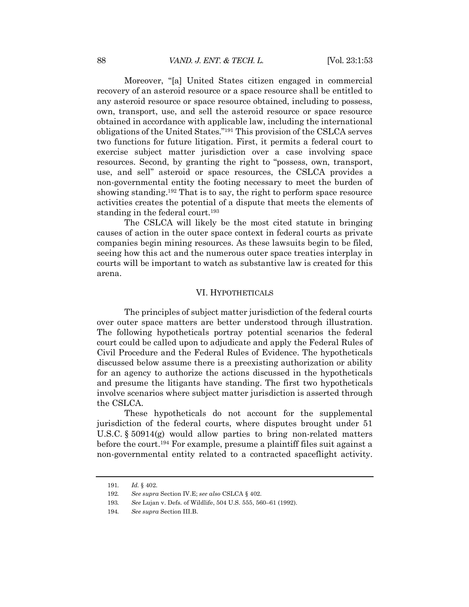Moreover, "[a] United States citizen engaged in commercial recovery of an asteroid resource or a space resource shall be entitled to any asteroid resource or space resource obtained, including to possess, own, transport, use, and sell the asteroid resource or space resource obtained in accordance with applicable law, including the international obligations of the United States."191 This provision of the CSLCA serves two functions for future litigation. First, it permits a federal court to exercise subject matter jurisdiction over a case involving space resources. Second, by granting the right to "possess, own, transport, use, and sell" asteroid or space resources, the CSLCA provides a non-governmental entity the footing necessary to meet the burden of showing standing.192 That is to say, the right to perform space resource activities creates the potential of a dispute that meets the elements of standing in the federal court.<sup>193</sup>

The CSLCA will likely be the most cited statute in bringing causes of action in the outer space context in federal courts as private companies begin mining resources. As these lawsuits begin to be filed, seeing how this act and the numerous outer space treaties interplay in courts will be important to watch as substantive law is created for this arena.

#### VI. HYPOTHETICALS

The principles of subject matter jurisdiction of the federal courts over outer space matters are better understood through illustration. The following hypotheticals portray potential scenarios the federal court could be called upon to adjudicate and apply the Federal Rules of Civil Procedure and the Federal Rules of Evidence. The hypotheticals discussed below assume there is a preexisting authorization or ability for an agency to authorize the actions discussed in the hypotheticals and presume the litigants have standing. The first two hypotheticals involve scenarios where subject matter jurisdiction is asserted through the CSLCA.

These hypotheticals do not account for the supplemental jurisdiction of the federal courts, where disputes brought under 51 U.S.C. § 50914(g) would allow parties to bring non-related matters before the court.194 For example, presume a plaintiff files suit against a non-governmental entity related to a contracted spaceflight activity.

<sup>191</sup>*. Id.* § 402.

<sup>192</sup>*. See supra* Section IV.E; *see also* CSLCA § 402.

<sup>193</sup>*. See* Lujan v. Defs. of Wildlife, 504 U.S. 555, 560–61 (1992).

<sup>194</sup>*. See supra* Section III.B.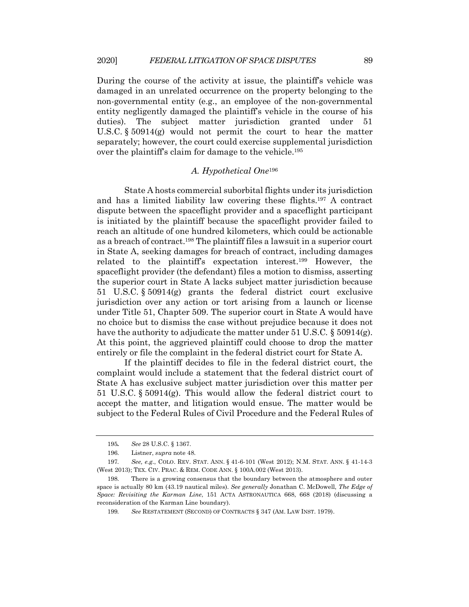During the course of the activity at issue, the plaintiff's vehicle was damaged in an unrelated occurrence on the property belonging to the non-governmental entity (e.g., an employee of the non-governmental entity negligently damaged the plaintiff's vehicle in the course of his duties). The subject matter jurisdiction granted under 51 U.S.C.  $\S 50914(g)$  would not permit the court to hear the matter separately; however, the court could exercise supplemental jurisdiction over the plaintiff's claim for damage to the vehicle.195

## *A. Hypothetical One*<sup>196</sup>

State A hosts commercial suborbital flights under its jurisdiction and has a limited liability law covering these flights.197 A contract dispute between the spaceflight provider and a spaceflight participant is initiated by the plaintiff because the spaceflight provider failed to reach an altitude of one hundred kilometers, which could be actionable as a breach of contract.198 The plaintiff files a lawsuit in a superior court in State A, seeking damages for breach of contract, including damages related to the plaintiff's expectation interest.199 However, the spaceflight provider (the defendant) files a motion to dismiss, asserting the superior court in State A lacks subject matter jurisdiction because 51 U.S.C. § 50914(g) grants the federal district court exclusive jurisdiction over any action or tort arising from a launch or license under Title 51, Chapter 509. The superior court in State A would have no choice but to dismiss the case without prejudice because it does not have the authority to adjudicate the matter under 51 U.S.C. § 50914(g). At this point, the aggrieved plaintiff could choose to drop the matter entirely or file the complaint in the federal district court for State A.

If the plaintiff decides to file in the federal district court, the complaint would include a statement that the federal district court of State A has exclusive subject matter jurisdiction over this matter per 51 U.S.C. § 50914(g). This would allow the federal district court to accept the matter, and litigation would ensue. The matter would be subject to the Federal Rules of Civil Procedure and the Federal Rules of

<sup>195</sup>*. See* 28 U.S.C. § 1367.

<sup>196.</sup> Listner, *supra* note 48.

<sup>197</sup>*. See, e.g.*, COLO. REV. STAT. ANN. § 41-6-101 (West 2012); N.M. STAT. ANN. § 41-14-3 (West 2013); TEX. CIV. PRAC. & REM. CODE ANN. § 100A.002 (West 2013).

<sup>198.</sup> There is a growing consensus that the boundary between the atmosphere and outer space is actually 80 km (43.19 nautical miles). *See generally* Jonathan C. McDowell, *The Edge of Space: Revisiting the Karman Line*, 151 ACTA ASTRONAUTICA 668, 668 (2018) (discussing a reconsideration of the Karman Line boundary).

<sup>199</sup>*. See* RESTATEMENT (SECOND) OF CONTRACTS § 347 (AM. LAW INST. 1979).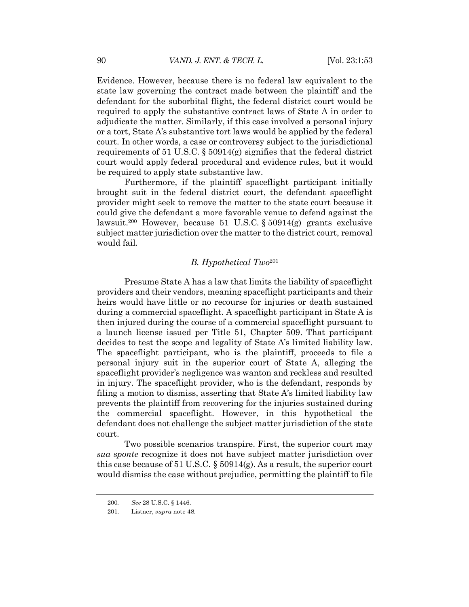Evidence. However, because there is no federal law equivalent to the state law governing the contract made between the plaintiff and the defendant for the suborbital flight, the federal district court would be required to apply the substantive contract laws of State A in order to adjudicate the matter. Similarly, if this case involved a personal injury or a tort, State A's substantive tort laws would be applied by the federal court. In other words, a case or controversy subject to the jurisdictional requirements of 51 U.S.C. § 50914(g) signifies that the federal district court would apply federal procedural and evidence rules, but it would be required to apply state substantive law.

Furthermore, if the plaintiff spaceflight participant initially brought suit in the federal district court, the defendant spaceflight provider might seek to remove the matter to the state court because it could give the defendant a more favorable venue to defend against the lawsuit.200 However, because 51 U.S.C. § 50914(g) grants exclusive subject matter jurisdiction over the matter to the district court, removal would fail.

## *B. Hypothetical Two*<sup>201</sup>

Presume State A has a law that limits the liability of spaceflight providers and their vendors, meaning spaceflight participants and their heirs would have little or no recourse for injuries or death sustained during a commercial spaceflight. A spaceflight participant in State A is then injured during the course of a commercial spaceflight pursuant to a launch license issued per Title 51, Chapter 509. That participant decides to test the scope and legality of State A's limited liability law. The spaceflight participant, who is the plaintiff, proceeds to file a personal injury suit in the superior court of State A, alleging the spaceflight provider's negligence was wanton and reckless and resulted in injury. The spaceflight provider, who is the defendant, responds by filing a motion to dismiss, asserting that State A's limited liability law prevents the plaintiff from recovering for the injuries sustained during the commercial spaceflight. However, in this hypothetical the defendant does not challenge the subject matter jurisdiction of the state court.

Two possible scenarios transpire. First, the superior court may *sua sponte* recognize it does not have subject matter jurisdiction over this case because of 51 U.S.C. § 50914(g). As a result, the superior court would dismiss the case without prejudice, permitting the plaintiff to file

<sup>200</sup>*. See* 28 U.S.C. § 1446.

<sup>201.</sup> Listner, *supra* note 48.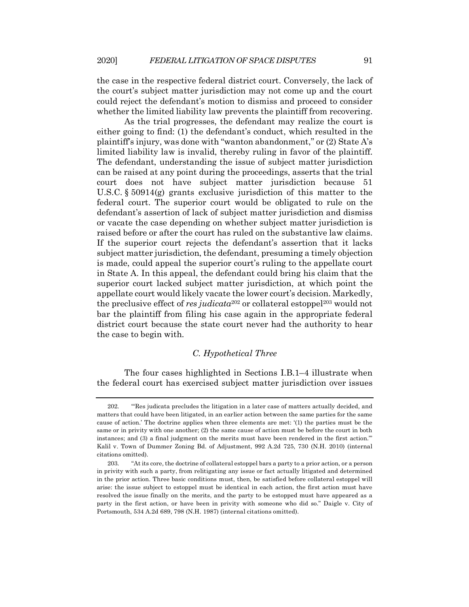the case in the respective federal district court. Conversely, the lack of the court's subject matter jurisdiction may not come up and the court could reject the defendant's motion to dismiss and proceed to consider whether the limited liability law prevents the plaintiff from recovering.

As the trial progresses, the defendant may realize the court is either going to find: (1) the defendant's conduct, which resulted in the plaintiff's injury, was done with "wanton abandonment," or (2) State A's limited liability law is invalid, thereby ruling in favor of the plaintiff. The defendant, understanding the issue of subject matter jurisdiction can be raised at any point during the proceedings, asserts that the trial court does not have subject matter jurisdiction because 51 U.S.C. § 50914(g) grants exclusive jurisdiction of this matter to the federal court. The superior court would be obligated to rule on the defendant's assertion of lack of subject matter jurisdiction and dismiss or vacate the case depending on whether subject matter jurisdiction is raised before or after the court has ruled on the substantive law claims. If the superior court rejects the defendant's assertion that it lacks subject matter jurisdiction, the defendant, presuming a timely objection is made, could appeal the superior court's ruling to the appellate court in State A. In this appeal, the defendant could bring his claim that the superior court lacked subject matter jurisdiction, at which point the appellate court would likely vacate the lower court's decision. Markedly, the preclusive effect of *res judicata*<sup>202</sup> or collateral estoppel<sup>203</sup> would not bar the plaintiff from filing his case again in the appropriate federal district court because the state court never had the authority to hear the case to begin with.

## *C. Hypothetical Three*

The four cases highlighted in Sections I.B.1–4 illustrate when the federal court has exercised subject matter jurisdiction over issues

<sup>202.</sup> "'Res judicata precludes the litigation in a later case of matters actually decided, and matters that could have been litigated, in an earlier action between the same parties for the same cause of action.' The doctrine applies when three elements are met: '(1) the parties must be the same or in privity with one another; (2) the same cause of action must be before the court in both instances; and (3) a final judgment on the merits must have been rendered in the first action.'" Kalil v. Town of Dummer Zoning Bd. of Adjustment, 992 A.2d 725, 730 (N.H. 2010) (internal citations omitted).

<sup>203.</sup> "At its core, the doctrine of collateral estoppel bars a party to a prior action, or a person in privity with such a party, from relitigating any issue or fact actually litigated and determined in the prior action. Three basic conditions must, then, be satisfied before collateral estoppel will arise: the issue subject to estoppel must be identical in each action, the first action must have resolved the issue finally on the merits, and the party to be estopped must have appeared as a party in the first action, or have been in privity with someone who did so." Daigle v. City of Portsmouth, 534 A.2d 689, 798 (N.H. 1987) (internal citations omitted).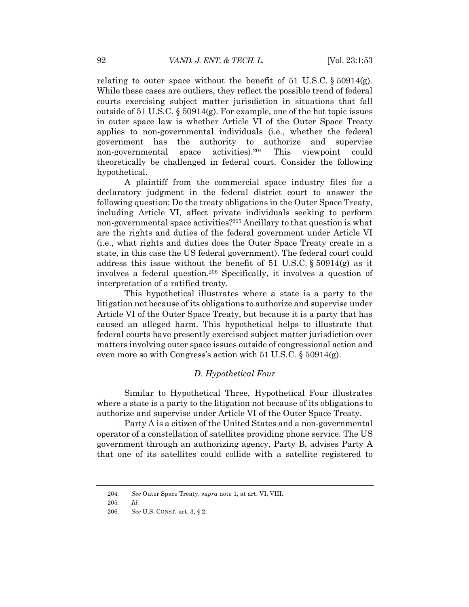relating to outer space without the benefit of 51 U.S.C.  $\S 50914(g)$ . While these cases are outliers, they reflect the possible trend of federal courts exercising subject matter jurisdiction in situations that fall outside of 51 U.S.C. § 50914(g). For example, one of the hot topic issues in outer space law is whether Article VI of the Outer Space Treaty applies to non-governmental individuals (i.e., whether the federal government has the authority to authorize and supervise non-governmental space activities).204 This viewpoint could theoretically be challenged in federal court. Consider the following hypothetical.

A plaintiff from the commercial space industry files for a declaratory judgment in the federal district court to answer the following question: Do the treaty obligations in the Outer Space Treaty, including Article VI, affect private individuals seeking to perform non-governmental space activities?205 Ancillary to that question is what are the rights and duties of the federal government under Article VI (i.e., what rights and duties does the Outer Space Treaty create in a state, in this case the US federal government). The federal court could address this issue without the benefit of 51 U.S.C. § 50914(g) as it involves a federal question.206 Specifically, it involves a question of interpretation of a ratified treaty.

This hypothetical illustrates where a state is a party to the litigation not because of its obligations to authorize and supervise under Article VI of the Outer Space Treaty, but because it is a party that has caused an alleged harm. This hypothetical helps to illustrate that federal courts have presently exercised subject matter jurisdiction over matters involving outer space issues outside of congressional action and even more so with Congress's action with 51 U.S.C. § 50914(g).

## *D. Hypothetical Four*

Similar to Hypothetical Three, Hypothetical Four illustrates where a state is a party to the litigation not because of its obligations to authorize and supervise under Article VI of the Outer Space Treaty.

Party A is a citizen of the United States and a non-governmental operator of a constellation of satellites providing phone service. The US government through an authorizing agency, Party B, advises Party A that one of its satellites could collide with a satellite registered to

<sup>204</sup>*. See* Outer Space Treaty, *supra* note 1, at art. VI, VIII.

<sup>205</sup>*. Id.*

<sup>206</sup>*. See* U.S. CONST. art. 3, § 2.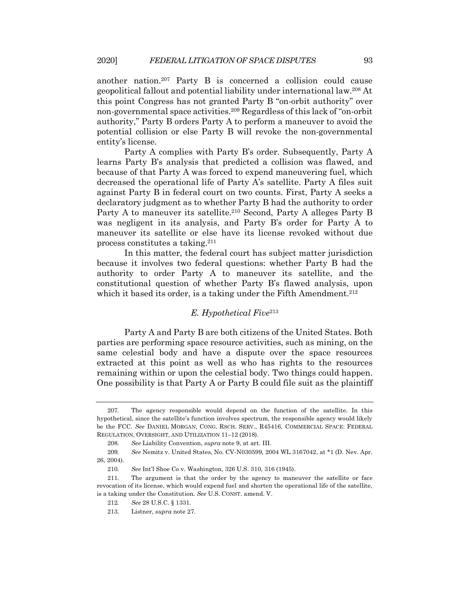another nation.207 Party B is concerned a collision could cause geopolitical fallout and potential liability under international law.208 At this point Congress has not granted Party B "on-orbit authority" over non-governmental space activities.209 Regardless of this lack of "on-orbit authority," Party B orders Party A to perform a maneuver to avoid the potential collision or else Party B will revoke the non-governmental entity's license.

Party A complies with Party B's order. Subsequently, Party A learns Party B's analysis that predicted a collision was flawed, and because of that Party A was forced to expend maneuvering fuel, which decreased the operational life of Party A's satellite. Party A files suit against Party B in federal court on two counts. First, Party A seeks a declaratory judgment as to whether Party B had the authority to order Party A to maneuver its satellite.210 Second, Party A alleges Party B was negligent in its analysis, and Party B's order for Party A to maneuver its satellite or else have its license revoked without due process constitutes a taking.211

In this matter, the federal court has subject matter jurisdiction because it involves two federal questions: whether Party B had the authority to order Party A to maneuver its satellite, and the constitutional question of whether Party B's flawed analysis, upon which it based its order, is a taking under the Fifth Amendment.<sup>212</sup>

## *E. Hypothetical Five*<sup>213</sup>

Party A and Party B are both citizens of the United States. Both parties are performing space resource activities, such as mining, on the same celestial body and have a dispute over the space resources extracted at this point as well as who has rights to the resources remaining within or upon the celestial body*.* Two things could happen. One possibility is that Party A or Party B could file suit as the plaintiff

<sup>207.</sup> The agency responsible would depend on the function of the satellite. In this hypothetical, since the satellite's function involves spectrum, the responsible agency would likely be the FCC. *See* DANIEL MORGAN, CONG. RSCH. SERV., R45416, COMMERCIAL SPACE: FEDERAL REGULATION, OVERSIGHT, AND UTILIZATION 11–12 (2018).

<sup>208</sup>*. See* Liability Convention, *supra* note 9, at art. III.

<sup>209</sup>*. See* Nemitz v. United States, No. CV-N030599, 2004 WL 3167042, at \*1 (D. Nev. Apr. 26, 2004).

<sup>210</sup>*. See* Int'l Shoe Co v. Washington, 326 U.S. 310, 316 (1945).

<sup>211.</sup> The argument is that the order by the agency to maneuver the satellite or face revocation of its license, which would expend fuel and shorten the operational life of the satellite, is a taking under the Constitution. *See* U.S. CONST. amend. V.

<sup>212</sup>*. See* 28 U.S.C. § 1331.

<sup>213.</sup> Listner, *supra* note 27.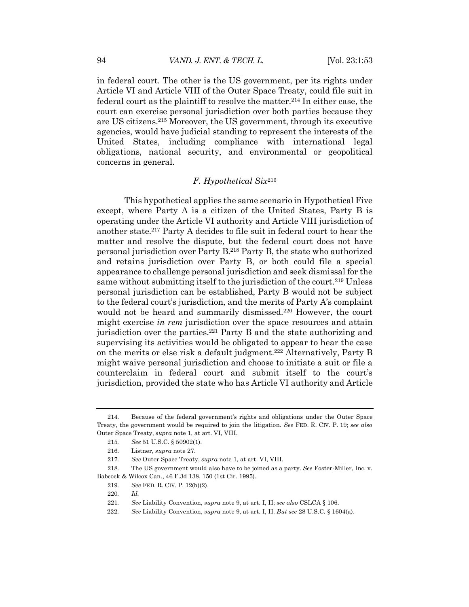in federal court. The other is the US government, per its rights under Article VI and Article VIII of the Outer Space Treaty, could file suit in federal court as the plaintiff to resolve the matter.214 In either case, the court can exercise personal jurisdiction over both parties because they are US citizens.215 Moreover, the US government, through its executive agencies, would have judicial standing to represent the interests of the United States, including compliance with international legal obligations, national security, and environmental or geopolitical concerns in general.

## *F. Hypothetical Six*<sup>216</sup>

This hypothetical applies the same scenario in Hypothetical Five except, where Party A is a citizen of the United States, Party B is operating under the Article VI authority and Article VIII jurisdiction of another state.217 Party A decides to file suit in federal court to hear the matter and resolve the dispute, but the federal court does not have personal jurisdiction over Party B.218 Party B, the state who authorized and retains jurisdiction over Party B, or both could file a special appearance to challenge personal jurisdiction and seek dismissal for the same without submitting itself to the jurisdiction of the court.<sup>219</sup> Unless personal jurisdiction can be established, Party B would not be subject to the federal court's jurisdiction, and the merits of Party A's complaint would not be heard and summarily dismissed.<sup>220</sup> However, the court might exercise *in rem* jurisdiction over the space resources and attain jurisdiction over the parties.<sup>221</sup> Party B and the state authorizing and supervising its activities would be obligated to appear to hear the case on the merits or else risk a default judgment.222 Alternatively, Party B might waive personal jurisdiction and choose to initiate a suit or file a counterclaim in federal court and submit itself to the court's jurisdiction, provided the state who has Article VI authority and Article

<sup>214.</sup> Because of the federal government's rights and obligations under the Outer Space Treaty, the government would be required to join the litigation. *See* FED. R. CIV. P. 19; *see also* Outer Space Treaty, *supra* note 1, at art. VI, VIII.

<sup>215</sup>*. See* 51 U.S.C. § 50902(1).

<sup>216.</sup> Listner, *supra* note 27.

<sup>217</sup>*. See* Outer Space Treaty, *supra* note 1, at art. VI, VIII.

<sup>218.</sup> The US government would also have to be joined as a party. *See* Foster-Miller, Inc. v. Babcock & Wilcox Can., 46 F.3d 138, 150 (1st Cir. 1995).

<sup>219</sup>*. See* FED. R. CIV. P. 12(b)(2).

<sup>220</sup>*. Id.*

<sup>221</sup>*. See* Liability Convention, *supra* note 9, at art. I, II; *see also* CSLCA § 106.

<sup>222.</sup> *See* Liability Convention, *supra* note 9, at art. I, II. *But see* 28 U.S.C. § 1604(a).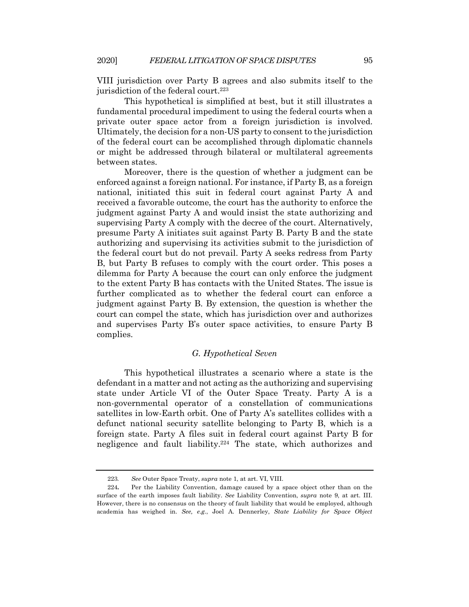VIII jurisdiction over Party B agrees and also submits itself to the jurisdiction of the federal court.223

This hypothetical is simplified at best, but it still illustrates a fundamental procedural impediment to using the federal courts when a private outer space actor from a foreign jurisdiction is involved. Ultimately, the decision for a non-US party to consent to the jurisdiction of the federal court can be accomplished through diplomatic channels or might be addressed through bilateral or multilateral agreements between states.

Moreover, there is the question of whether a judgment can be enforced against a foreign national. For instance, if Party B, as a foreign national, initiated this suit in federal court against Party A and received a favorable outcome, the court has the authority to enforce the judgment against Party A and would insist the state authorizing and supervising Party A comply with the decree of the court. Alternatively, presume Party A initiates suit against Party B. Party B and the state authorizing and supervising its activities submit to the jurisdiction of the federal court but do not prevail. Party A seeks redress from Party B, but Party B refuses to comply with the court order. This poses a dilemma for Party A because the court can only enforce the judgment to the extent Party B has contacts with the United States. The issue is further complicated as to whether the federal court can enforce a judgment against Party B. By extension, the question is whether the court can compel the state, which has jurisdiction over and authorizes and supervises Party B's outer space activities, to ensure Party B complies.

## *G. Hypothetical Seven*

This hypothetical illustrates a scenario where a state is the defendant in a matter and not acting as the authorizing and supervising state under Article VI of the Outer Space Treaty. Party A is a non-governmental operator of a constellation of communications satellites in low-Earth orbit. One of Party A's satellites collides with a defunct national security satellite belonging to Party B, which is a foreign state. Party A files suit in federal court against Party B for negligence and fault liability.224 The state, which authorizes and

<sup>223</sup>*. See* Outer Space Treaty, *supra* note 1, at art. VI, VIII.

<sup>224</sup>**.** Per the Liability Convention, damage caused by a space object other than on the surface of the earth imposes fault liability. *See* Liability Convention, *supra* note 9, at art. III. However, there is no consensus on the theory of fault liability that would be employed, although academia has weighed in. *See, e.g.*, Joel A. Dennerley, *State Liability for Space Object*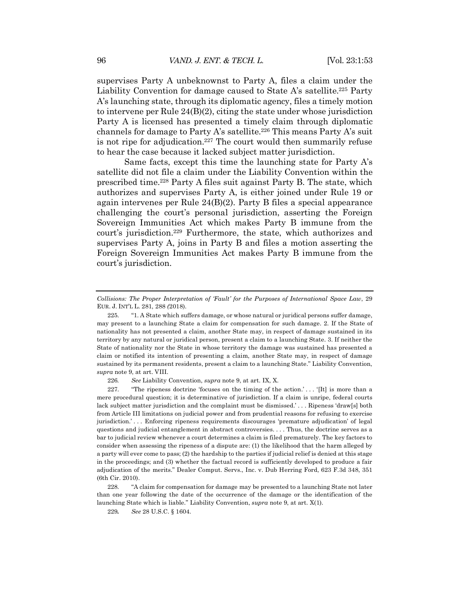supervises Party A unbeknownst to Party A, files a claim under the Liability Convention for damage caused to State A's satellite.<sup>225</sup> Party A's launching state, through its diplomatic agency, files a timely motion to intervene per Rule  $24(B)(2)$ , citing the state under whose jurisdiction Party A is licensed has presented a timely claim through diplomatic channels for damage to Party A's satellite.<sup>226</sup> This means Party A's suit is not ripe for adjudication.<sup>227</sup> The court would then summarily refuse to hear the case because it lacked subject matter jurisdiction.

Same facts, except this time the launching state for Party A's satellite did not file a claim under the Liability Convention within the prescribed time.228 Party A files suit against Party B. The state, which authorizes and supervises Party A, is either joined under Rule 19 or again intervenes per Rule 24(B)(2). Party B files a special appearance challenging the court's personal jurisdiction, asserting the Foreign Sovereign Immunities Act which makes Party B immune from the court's jurisdiction.229 Furthermore, the state, which authorizes and supervises Party A, joins in Party B and files a motion asserting the Foreign Sovereign Immunities Act makes Party B immune from the court's jurisdiction.

226*. See* Liability Convention, *supra* note 9, at art. IX, X.

227. "The ripeness doctrine 'focuses on the timing of the action.'... '[It] is more than a mere procedural question; it is determinative of jurisdiction. If a claim is unripe, federal courts lack subject matter jurisdiction and the complaint must be dismissed.' . . . Ripeness 'draw[s] both from Article III limitations on judicial power and from prudential reasons for refusing to exercise jurisdiction.'... Enforcing ripeness requirements discourages 'premature adjudication' of legal questions and judicial entanglement in abstract controversies. . . . Thus, the doctrine serves as a bar to judicial review whenever a court determines a claim is filed prematurely. The key factors to consider when assessing the ripeness of a dispute are: (1) the likelihood that the harm alleged by a party will ever come to pass; (2) the hardship to the parties if judicial relief is denied at this stage in the proceedings; and (3) whether the factual record is sufficiently developed to produce a fair adjudication of the merits." Dealer Comput. Servs., Inc. v. Dub Herring Ford, 623 F.3d 348, 351 (6th Cir. 2010).

228. "A claim for compensation for damage may be presented to a launching State not later than one year following the date of the occurrence of the damage or the identification of the launching State which is liable." Liability Convention, *supra* note 9, at art. X(1).

229*. See* 28 U.S.C. § 1604.

*Collisions: The Proper Interpretation of 'Fault' for the Purposes of International Space Law*, 29 EUR. J. INT'L L. 281, 288 *(*2018).

<sup>225.</sup> "1. A State which suffers damage, or whose natural or juridical persons suffer damage, may present to a launching State a claim for compensation for such damage. 2. If the State of nationality has not presented a claim, another State may, in respect of damage sustained in its territory by any natural or juridical person, present a claim to a launching State. 3. If neither the State of nationality nor the State in whose territory the damage was sustained has presented a claim or notified its intention of presenting a claim, another State may, in respect of damage sustained by its permanent residents, present a claim to a launching State." Liability Convention, *supra* note 9, at art. VIII.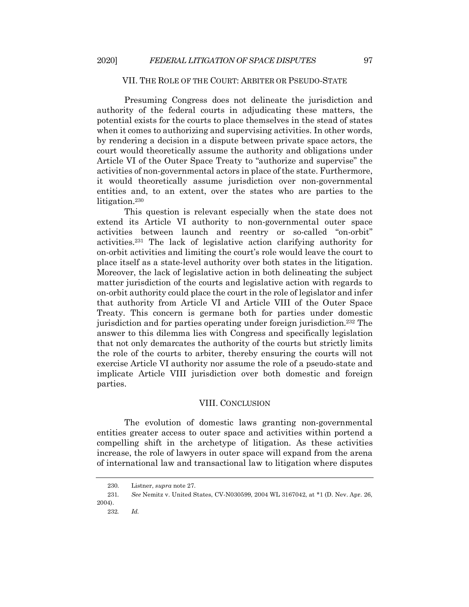#### VII. THE ROLE OF THE COURT: ARBITER OR PSEUDO-STATE

Presuming Congress does not delineate the jurisdiction and authority of the federal courts in adjudicating these matters, the potential exists for the courts to place themselves in the stead of states when it comes to authorizing and supervising activities. In other words, by rendering a decision in a dispute between private space actors, the court would theoretically assume the authority and obligations under Article VI of the Outer Space Treaty to "authorize and supervise" the activities of non-governmental actors in place of the state. Furthermore, it would theoretically assume jurisdiction over non-governmental entities and, to an extent, over the states who are parties to the litigation.<sup>230</sup>

This question is relevant especially when the state does not extend its Article VI authority to non-governmental outer space activities between launch and reentry or so-called "on-orbit" activities.231 The lack of legislative action clarifying authority for on-orbit activities and limiting the court's role would leave the court to place itself as a state-level authority over both states in the litigation. Moreover, the lack of legislative action in both delineating the subject matter jurisdiction of the courts and legislative action with regards to on-orbit authority could place the court in the role of legislator and infer that authority from Article VI and Article VIII of the Outer Space Treaty. This concern is germane both for parties under domestic jurisdiction and for parties operating under foreign jurisdiction.232 The answer to this dilemma lies with Congress and specifically legislation that not only demarcates the authority of the courts but strictly limits the role of the courts to arbiter, thereby ensuring the courts will not exercise Article VI authority nor assume the role of a pseudo-state and implicate Article VIII jurisdiction over both domestic and foreign parties.

#### VIII. CONCLUSION

The evolution of domestic laws granting non-governmental entities greater access to outer space and activities within portend a compelling shift in the archetype of litigation. As these activities increase, the role of lawyers in outer space will expand from the arena of international law and transactional law to litigation where disputes

<sup>230.</sup> Listner, *supra* note 27.

<sup>231</sup>*. See* Nemitz v. United States, CV-N030599, 2004 WL 3167042, at \*1 (D. Nev. Apr. 26, 2004).

<sup>232</sup>*. Id.*